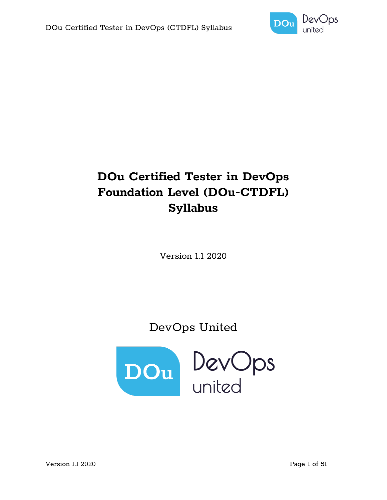

# **DOu Certified Tester in DevOps Foundation Level (DOu-CTDFL) Syllabus**

Version 1.1 2020

DevOps United

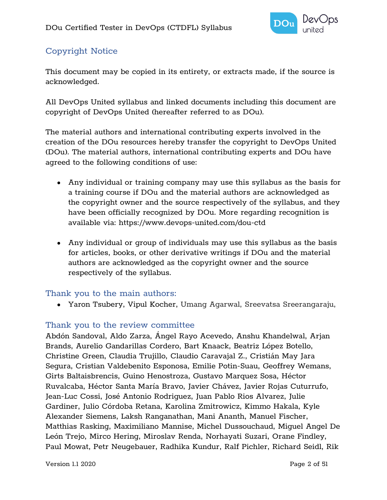

## Copyright Notice

This document may be copied in its entirety, or extracts made, if the source is acknowledged.

All DevOps United syllabus and linked documents including this document are copyright of DevOps United (hereafter referred to as DOu).

The material authors and international contributing experts involved in the creation of the DOu resources hereby transfer the copyright to DevOps United (DOu). The material authors, international contributing experts and DOu have agreed to the following conditions of use:

- Any individual or training company may use this syllabus as the basis for a training course if DOu and the material authors are acknowledged as the copyright owner and the source respectively of the syllabus, and they have been officially recognized by DOu. More regarding recognition is available via:<https://www.devops-united.com/dou-ctd>
- Any individual or group of individuals may use this syllabus as the basis for articles, books, or other derivative writings if DOu and the material authors are acknowledged as the copyright owner and the source respectively of the syllabus.

#### Thank you to the main authors:

● Yaron Tsubery, Vipul Kocher, Umang Agarwal, Sreevatsa Sreerangaraju,

#### Thank you to the review committee

Abdón Sandoval, Aldo Zarza, Ángel Rayo Acevedo, Anshu Khandelwal, Arjan Brands, Aurelio Gandarillas Cordero, Bart Knaack, Beatriz López Botello, Christine Green, Claudia Trujillo, Claudio Caravajal Z., Cristián May Jara Segura, Cristian Valdebenito Esponosa, Emilie Potin-Suau, Geoffrey Wemans, Girts Baltaisbrencis, Guino Henostroza, Gustavo Marquez Sosa, Héctor Ruvalcaba, Héctor Santa María Bravo, Javier Chávez, Javier Rojas Cuturrufo, Jean-Luc Cossi, José Antonio Rodriguez, Juan Pablo Rios Alvarez, Julie Gardiner, Julio Córdoba Retana, Karolina Zmitrowicz, Kimmo Hakala, Kyle Alexander Siemens, Laksh Ranganathan, Mani Ananth, Manuel Fischer, Matthias Rasking, Maximiliano Mannise, Michel Dussouchaud, Miguel Angel De León Trejo, Mirco Hering, Miroslav Renda, Norhayati Suzari, Orane Findley, Paul Mowat, Petr Neugebauer, Radhika Kundur, Ralf Pichler, Richard Seidl, Rik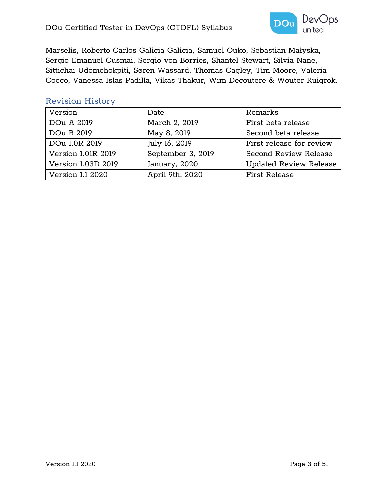

Marselis, Roberto Carlos Galicia Galicia, Samuel Ouko, Sebastian Małyska, Sergio Emanuel Cusmai, Sergio von Borries, Shantel Stewart, Silvia Nane, Sittichai Udomchokpiti, Søren Wassard, Thomas Cagley, Tim Moore, Valeria Cocco, Vanessa Islas Padilla, Vikas Thakur, Wim Decoutere & Wouter Ruigrok.

#### Revision History

| Version            | Date              | Remarks                       |
|--------------------|-------------------|-------------------------------|
| DOu A 2019         | March 2, 2019     | First beta release            |
| DOu B 2019         | May 8, 2019       | Second beta release           |
| DOu 1.0R 2019      | July 16, 2019     | First release for review      |
| Version 1.01R 2019 | September 3, 2019 | <b>Second Review Release</b>  |
| Version 1.03D 2019 | January, 2020     | <b>Updated Review Release</b> |
| Version 1.1 2020   | April 9th, 2020   | <b>First Release</b>          |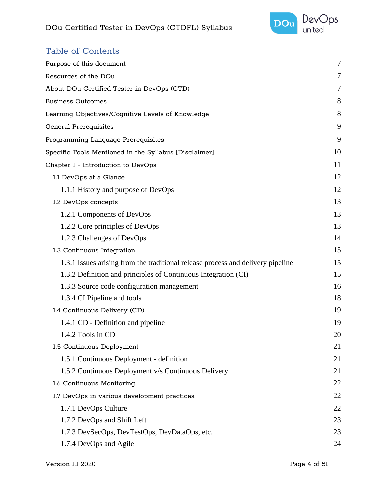

## Table of Contents

| Purpose of this document                                                        | $\overline{7}$ |
|---------------------------------------------------------------------------------|----------------|
| Resources of the DOu                                                            | 7              |
| About DOu Certified Tester in DevOps (CTD)                                      | 7              |
| <b>Business Outcomes</b>                                                        | 8              |
| Learning Objectives/Cognitive Levels of Knowledge                               | 8              |
| <b>General Prerequisites</b>                                                    | 9              |
| Programming Language Prerequisites                                              | 9              |
| Specific Tools Mentioned in the Syllabus [Disclaimer]                           | 10             |
| Chapter 1 - Introduction to DevOps                                              | 11             |
| 1.1 DevOps at a Glance                                                          | 12             |
| 1.1.1 History and purpose of DevOps                                             | 12             |
| 1.2 DevOps concepts                                                             | 13             |
| 1.2.1 Components of DevOps                                                      | 13             |
| 1.2.2 Core principles of DevOps                                                 | 13             |
| 1.2.3 Challenges of DevOps                                                      | 14             |
| 1.3 Continuous Integration                                                      | 15             |
| 1.3.1 Issues arising from the traditional release process and delivery pipeline | 15             |
| 1.3.2 Definition and principles of Continuous Integration (CI)                  | 15             |
| 1.3.3 Source code configuration management                                      | 16             |
| 1.3.4 CI Pipeline and tools                                                     | 18             |
| 1.4 Continuous Delivery (CD)                                                    | 19             |
| 1.4.1 CD - Definition and pipeline                                              | 19             |
| 1.4.2 Tools in CD                                                               | 20             |
| 1.5 Continuous Deployment                                                       | 21             |
| 1.5.1 Continuous Deployment - definition                                        | 21             |
| 1.5.2 Continuous Deployment v/s Continuous Delivery                             | 21             |
| 1.6 Continuous Monitoring                                                       | 22             |
| 1.7 DevOps in various development practices                                     | 22             |
| 1.7.1 DevOps Culture                                                            | 22             |
| 1.7.2 DevOps and Shift Left                                                     | 23             |
| 1.7.3 DevSecOps, DevTestOps, DevDataOps, etc.                                   | 23             |
| 1.7.4 DevOps and Agile                                                          | 24             |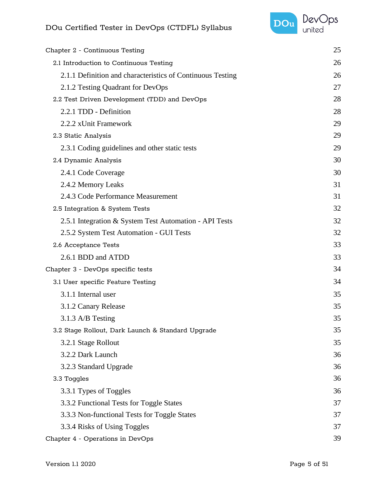

| Chapter 2 - Continuous Testing                             | 25 |
|------------------------------------------------------------|----|
| 2.1 Introduction to Continuous Testing                     | 26 |
| 2.1.1 Definition and characteristics of Continuous Testing | 26 |
| 2.1.2 Testing Quadrant for DevOps                          | 27 |
| 2.2 Test Driven Development (TDD) and DevOps               | 28 |
| 2.2.1 TDD - Definition                                     | 28 |
| 2.2.2 xUnit Framework                                      | 29 |
| 2.3 Static Analysis                                        | 29 |
| 2.3.1 Coding guidelines and other static tests             | 29 |
| 2.4 Dynamic Analysis                                       | 30 |
| 2.4.1 Code Coverage                                        | 30 |
| 2.4.2 Memory Leaks                                         | 31 |
| 2.4.3 Code Performance Measurement                         | 31 |
| 2.5 Integration & System Tests                             | 32 |
| 2.5.1 Integration & System Test Automation - API Tests     | 32 |
| 2.5.2 System Test Automation - GUI Tests                   | 32 |
| 2.6 Acceptance Tests                                       | 33 |
| 2.6.1 BDD and ATDD                                         | 33 |
| Chapter 3 - DevOps specific tests                          | 34 |
| 3.1 User specific Feature Testing                          | 34 |
| 3.1.1 Internal user                                        | 35 |
| 3.1.2 Canary Release                                       | 35 |
| 3.1.3 A/B Testing                                          | 35 |
| 3.2 Stage Rollout, Dark Launch & Standard Upgrade          | 35 |
| 3.2.1 Stage Rollout                                        | 35 |
| 3.2.2 Dark Launch                                          | 36 |
| 3.2.3 Standard Upgrade                                     | 36 |
| 3.3 Toggles                                                | 36 |
| 3.3.1 Types of Toggles                                     | 36 |
| 3.3.2 Functional Tests for Toggle States                   | 37 |
| 3.3.3 Non-functional Tests for Toggle States               | 37 |
| 3.3.4 Risks of Using Toggles                               | 37 |
| Chapter 4 - Operations in DevOps                           | 39 |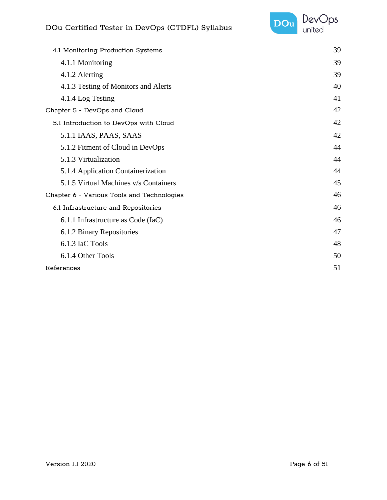

| 4.1 Monitoring Production Systems          | 39 |
|--------------------------------------------|----|
| 4.1.1 Monitoring                           | 39 |
| 4.1.2 Alerting                             | 39 |
| 4.1.3 Testing of Monitors and Alerts       | 40 |
| 4.1.4 Log Testing                          | 41 |
| Chapter 5 - DevOps and Cloud               | 42 |
| 5.1 Introduction to DevOps with Cloud      | 42 |
| 5.1.1 IAAS, PAAS, SAAS                     | 42 |
| 5.1.2 Fitment of Cloud in DevOps           | 44 |
| 5.1.3 Virtualization                       | 44 |
| 5.1.4 Application Containerization         | 44 |
| 5.1.5 Virtual Machines v/s Containers      | 45 |
| Chapter 6 - Various Tools and Technologies | 46 |
| 6.1 Infrastructure and Repositories        | 46 |
| 6.1.1 Infrastructure as Code (IaC)         | 46 |
| 6.1.2 Binary Repositories                  | 47 |
| 6.1.3 IaC Tools                            | 48 |
| 6.1.4 Other Tools                          | 50 |
| References                                 | 51 |
|                                            |    |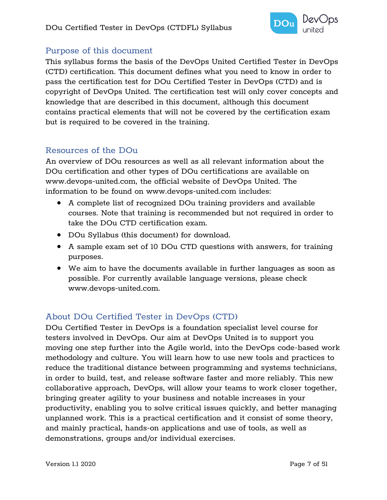

#### <span id="page-6-0"></span>Purpose of this document

This syllabus forms the basis of the DevOps United Certified Tester in DevOps (CTD) certification. This document defines what you need to know in order to pass the certification test for DOu Certified Tester in DevOps (CTD) and is copyright of DevOps United. The certification test will only cover concepts and knowledge that are described in this document, although this document contains practical elements that will not be covered by the certification exam but is required to be covered in the training.

#### <span id="page-6-1"></span>Resources of the DOu

An overview of DOu resources as well as all relevant information about the DOu certification and other types of DOu certifications are available on www.devops-united.com, the official website of DevOps United. The information to be found on www.devops-united.com includes:

- A complete list of recognized DOu training providers and available courses. Note that training is recommended but not required in order to take the DOu CTD certification exam.
- DOu Syllabus (this document) for download.
- A sample exam set of 10 DOu CTD questions with answers, for training purposes.
- We aim to have the documents available in further languages as soon as possible. For currently available language versions, please check www.devops-united.com.

#### <span id="page-6-2"></span>About DOu Certified Tester in DevOps (CTD)

DOu Certified Tester in DevOps is a foundation specialist level course for testers involved in DevOps. Our aim at DevOps United is to support you moving one step further into the Agile world, into the DevOps code-based work methodology and culture. You will learn how to use new tools and practices to reduce the traditional distance between programming and systems technicians, in order to build, test, and release software faster and more reliably. This new collaborative approach, DevOps, will allow your teams to work closer together, bringing greater agility to your business and notable increases in your productivity, enabling you to solve critical issues quickly, and better managing unplanned work. This is a practical certification and it consist of some theory, and mainly practical, hands-on applications and use of tools, as well as demonstrations, groups and/or individual exercises.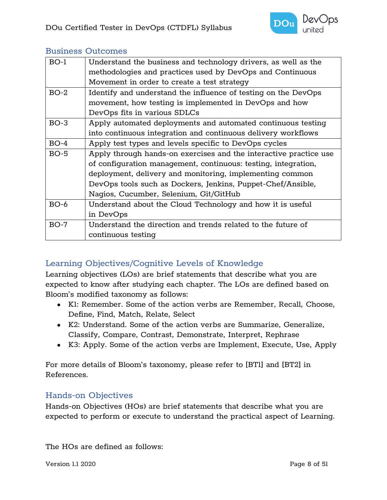

| $BO-1$ | Understand the business and technology drivers, as well as the    |
|--------|-------------------------------------------------------------------|
|        | methodologies and practices used by DevOps and Continuous         |
|        | Movement in order to create a test strategy                       |
| $BO-2$ | Identify and understand the influence of testing on the DevOps    |
|        | movement, how testing is implemented in DevOps and how            |
|        | DevOps fits in various SDLCs                                      |
| $BO-3$ | Apply automated deployments and automated continuous testing      |
|        | into continuous integration and continuous delivery workflows     |
| $BO-4$ | Apply test types and levels specific to DevOps cycles             |
| $BO-5$ | Apply through hands-on exercises and the interactive practice use |
|        | of configuration management, continuous: testing, integration,    |
|        | deployment, delivery and monitoring, implementing common          |
|        | DevOps tools such as Dockers, Jenkins, Puppet-Chef/Ansible,       |
|        | Nagios, Cucumber, Selenium, Git/GitHub                            |
| $BO-6$ | Understand about the Cloud Technology and how it is useful        |
|        | in DevOps                                                         |
| $BO-7$ | Understand the direction and trends related to the future of      |
|        | continuous testing                                                |
|        |                                                                   |

#### <span id="page-7-0"></span>Business Outcomes

#### <span id="page-7-1"></span>Learning Objectives/Cognitive Levels of Knowledge

Learning objectives (LOs) are brief statements that describe what you are expected to know after studying each chapter. The LOs are defined based on Bloom's modified taxonomy as follows:

- K1: Remember. Some of the action verbs are Remember, Recall, Choose, Define, Find, Match, Relate, Select
- K2: Understand. Some of the action verbs are Summarize, Generalize, Classify, Compare, Contrast, Demonstrate, Interpret, Rephrase
- K3: Apply. Some of the action verbs are Implement, Execute, Use, Apply

For more details of Bloom's taxonomy, please refer to [BT1] and [BT2] in [References.](#page-50-0)

#### Hands-on Objectives

Hands-on Objectives (HOs) are brief statements that describe what you are expected to perform or execute to understand the practical aspect of Learning.

The HOs are defined as follows:

Version 1.1 2020 **Page 8 of 51**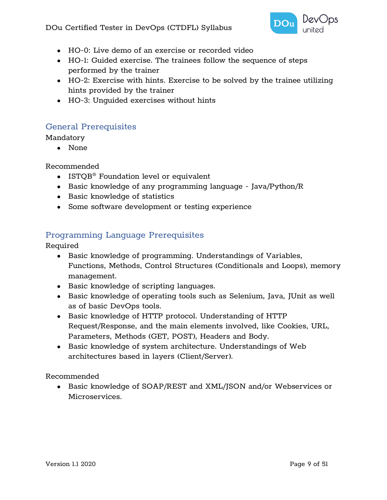

- HO-0: Live demo of an exercise or recorded video
- HO-1: Guided exercise. The trainees follow the sequence of steps performed by the trainer
- HO-2: Exercise with hints. Exercise to be solved by the trainee utilizing hints provided by the trainer
- HO-3: Unguided exercises without hints

#### <span id="page-8-0"></span>General Prerequisites

#### Mandatory

● None

Recommended

- ISTQB<sup>®</sup> Foundation level or equivalent
- Basic knowledge of any programming language Java/Python/R
- Basic knowledge of statistics
- Some software development or testing experience

#### <span id="page-8-1"></span>Programming Language Prerequisites

Required

- Basic knowledge of programming. Understandings of Variables, Functions, Methods, Control Structures (Conditionals and Loops), memory management.
- Basic knowledge of scripting languages.
- Basic knowledge of operating tools such as Selenium, Java, JUnit as well as of basic DevOps tools.
- Basic knowledge of HTTP protocol. Understanding of HTTP Request/Response, and the main elements involved, like Cookies, URL, Parameters, Methods (GET, POST), Headers and Body.
- Basic knowledge of system architecture. Understandings of Web architectures based in layers (Client/Server).

Recommended

● Basic knowledge of SOAP/REST and XML/JSON and/or Webservices or Microservices.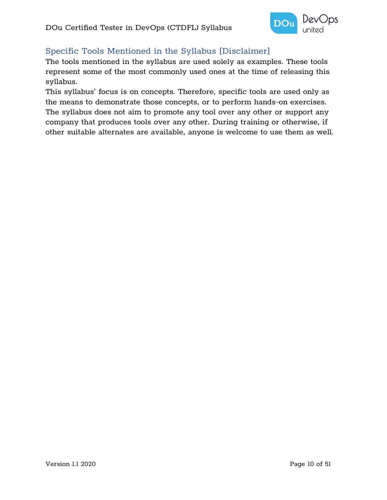

#### <span id="page-9-0"></span>Specific Tools Mentioned in the Syllabus [Disclaimer]

The tools mentioned in the syllabus are used solely as examples. These tools represent some of the most commonly used ones at the time of releasing this syllabus.

This syllabus' focus is on concepts. Therefore, specific tools are used only as the means to demonstrate those concepts, or to perform hands-on exercises. The syllabus does not aim to promote any tool over any other or support any company that produces tools over any other. During training or otherwise, if other suitable alternates are available, anyone is welcome to use them as well.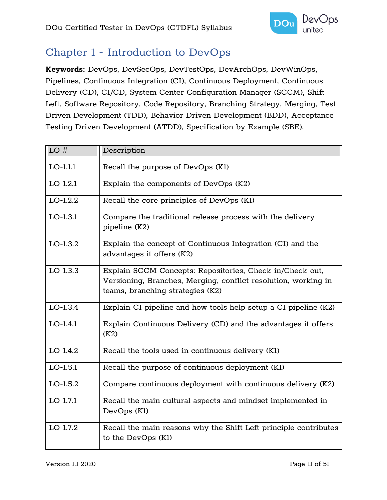

## <span id="page-10-0"></span>Chapter 1 - Introduction to DevOps

**Keywords:** DevOps, DevSecOps, DevTestOps, DevArchOps, DevWinOps, Pipelines, Continuous Integration (CI), Continuous Deployment, Continuous Delivery (CD), CI/CD, System Center Configuration Manager (SCCM), Shift Left, Software Repository, Code Repository, Branching Strategy, Merging, Test Driven Development (TDD), Behavior Driven Development (BDD), Acceptance Testing Driven Development (ATDD), Specification by Example (SBE).

| LO#        | Description                                                                                                                                                    |
|------------|----------------------------------------------------------------------------------------------------------------------------------------------------------------|
| $LO-1.1.1$ | Recall the purpose of DevOps (Kl)                                                                                                                              |
| $LO-1.2.1$ | Explain the components of DevOps (K2)                                                                                                                          |
| $LO-1.2.2$ | Recall the core principles of DevOps (K1)                                                                                                                      |
| $LO-1.3.1$ | Compare the traditional release process with the delivery<br>pipeline (K2)                                                                                     |
| $LO-1.3.2$ | Explain the concept of Continuous Integration (CI) and the<br>advantages it offers (K2)                                                                        |
| $LO-1.3.3$ | Explain SCCM Concepts: Repositories, Check-in/Check-out,<br>Versioning, Branches, Merging, conflict resolution, working in<br>teams, branching strategies (K2) |
| $LO-1.3.4$ | Explain CI pipeline and how tools help setup a CI pipeline (K2)                                                                                                |
| $LO-1.4.1$ | Explain Continuous Delivery (CD) and the advantages it offers<br>(K2)                                                                                          |
| $LO-1.4.2$ | Recall the tools used in continuous delivery (K1)                                                                                                              |
| $LO-1.5.1$ | Recall the purpose of continuous deployment (K1)                                                                                                               |
| $LO-1.5.2$ | Compare continuous deployment with continuous delivery (K2)                                                                                                    |
| $LO-1.7.1$ | Recall the main cultural aspects and mindset implemented in<br>DevOps (K1)                                                                                     |
| $LO-1.7.2$ | Recall the main reasons why the Shift Left principle contributes<br>to the DevOps (K1)                                                                         |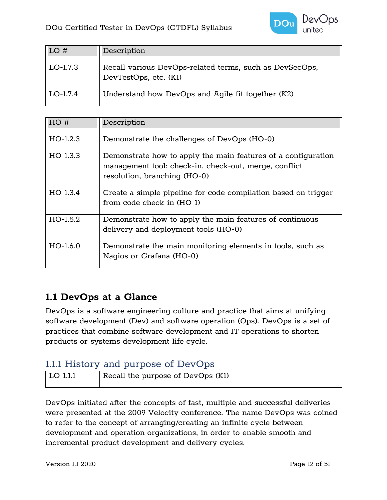

| LO#        | Description                                                                      |
|------------|----------------------------------------------------------------------------------|
| $LO-1.7.3$ | Recall various DevOps-related terms, such as DevSecOps,<br>DevTestOps, etc. (K1) |
| $LO-1.7.4$ | Understand how DevOps and Agile fit together (K2)                                |

| HO#        | Description                                                                                                                                            |
|------------|--------------------------------------------------------------------------------------------------------------------------------------------------------|
| $HO-1.2.3$ | Demonstrate the challenges of DevOps (HO-0)                                                                                                            |
| $HO-1.3.3$ | Demonstrate how to apply the main features of a configuration<br>management tool: check-in, check-out, merge, conflict<br>resolution, branching (HO-0) |
| $HO-1.3.4$ | Create a simple pipeline for code compilation based on trigger<br>from code check-in (HO-1)                                                            |
| $HO-1.5.2$ | Demonstrate how to apply the main features of continuous<br>delivery and deployment tools (HO-0)                                                       |
| $HO-1.6.0$ | Demonstrate the main monitoring elements in tools, such as<br>Nagios or Grafana (HO-0)                                                                 |

## <span id="page-11-0"></span>**1.1 DevOps at a Glance**

DevOps is a software engineering culture and practice that aims at unifying software development (Dev) and software operation (Ops). DevOps is a set of practices that combine software development and IT operations to shorten products or systems development life cycle.

## <span id="page-11-1"></span>1.1.1 History and purpose of DevOps

| $ $ LO-1.1.1 | Recall the purpose of DevOps (Kl) |
|--------------|-----------------------------------|
|              |                                   |

DevOps initiated after the concepts of fast, multiple and successful deliveries were presented at the 2009 Velocity conference. The name DevOps was coined to refer to the concept of arranging/creating an infinite cycle between development and operation organizations, in order to enable smooth and incremental product development and delivery cycles.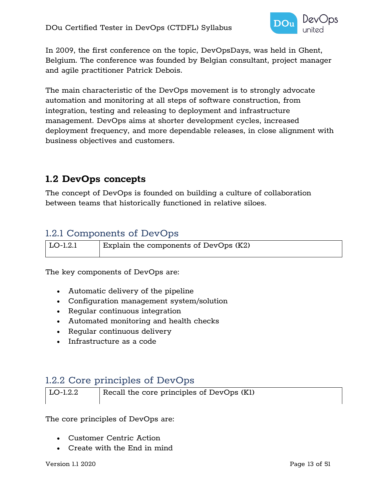

In 2009, the first conference on the topic, DevOpsDays, was held in Ghent, Belgium. The conference was founded by Belgian consultant, project manager and agile practitioner Patrick Debois.

The main characteristic of the DevOps movement is to strongly advocate automation and monitoring at all steps of software construction, from integration, testing and releasing to deployment and infrastructure management. DevOps aims at shorter development cycles, increased deployment frequency, and more dependable releases, in close alignment with business objectives and customers.

## <span id="page-12-0"></span>**1.2 DevOps concepts**

The concept of DevOps is founded on building a culture of collaboration between teams that historically functioned in relative siloes.

## <span id="page-12-1"></span>1.2.1 Components of DevOps

| $ $ LO-1.2.1 | Explain the components of DevOps $(K2)$ |
|--------------|-----------------------------------------|
|              |                                         |

The key components of DevOps are:

- Automatic delivery of the pipeline
- Configuration management system/solution
- Regular continuous integration
- Automated monitoring and health checks
- Regular continuous delivery
- Infrastructure as a code

## <span id="page-12-2"></span>1.2.2 Core principles of DevOps

| LO-1.2.2 | Recall the core principles of DevOps $(Kl)$ |
|----------|---------------------------------------------|
|          |                                             |

The core principles of DevOps are:

- Customer Centric Action
- Create with the End in mind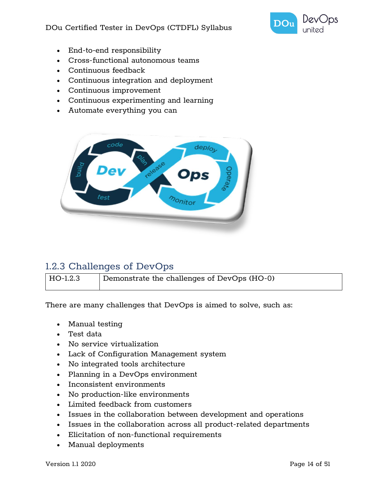

- End-to-end responsibility
- Cross-functional autonomous teams
- Continuous feedback
- Continuous integration and deployment
- Continuous improvement
- Continuous experimenting and learning
- Automate everything you can



## <span id="page-13-0"></span>1.2.3 Challenges of DevOps

| HO-1.2.3 | Demonstrate the challenges of DevOps (HO-0) |
|----------|---------------------------------------------|
|          |                                             |

There are many challenges that DevOps is aimed to solve, such as:

- Manual testing
- Test data
- No service virtualization
- Lack of Configuration Management system
- No integrated tools architecture
- Planning in a DevOps environment
- Inconsistent environments
- No production-like environments
- Limited feedback from customers
- Issues in the collaboration between development and operations
- Issues in the collaboration across all product-related departments
- Elicitation of non-functional requirements
- Manual deployments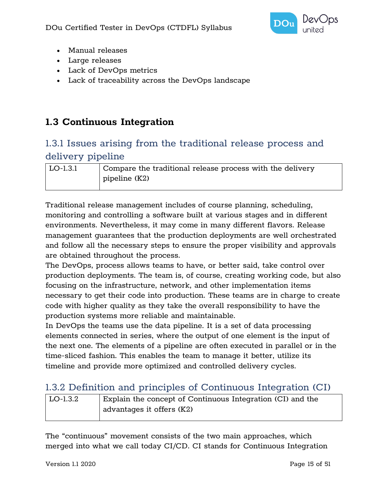

- Manual releases
- Large releases
- Lack of DevOps metrics
- Lack of traceability across the DevOps landscape

## <span id="page-14-0"></span>**1.3 Continuous Integration**

## <span id="page-14-1"></span>1.3.1 Issues arising from the traditional release process and delivery pipeline

| ∣ LO-1.3.1 | Compare the traditional release process with the delivery |
|------------|-----------------------------------------------------------|
|            | $ $ pipeline $(K2)$                                       |
|            |                                                           |

Traditional release management includes of course planning, scheduling, monitoring and controlling a software built at various stages and in different environments. Nevertheless, it may come in many different flavors. Release management guarantees that the production deployments are well orchestrated and follow all the necessary steps to ensure the proper visibility and approvals are obtained throughout the process.

The DevOps, process allows teams to have, or better said, take control over production deployments. The team is, of course, creating working code, but also focusing on the infrastructure, network, and other implementation items necessary to get their code into production. These teams are in charge to create code with higher quality as they take the overall responsibility to have the production systems more reliable and maintainable.

In DevOps the teams use the data pipeline. It is a set of data processing elements connected in series, where the output of one element is the input of the next one. The elements of a pipeline are often executed in parallel or in the time-sliced fashion. This enables the team to manage it better, utilize its timeline and provide more optimized and controlled delivery cycles.

## <span id="page-14-2"></span>1.3.2 Definition and principles of Continuous Integration (CI)

| ' LO-1.3.2 | Explain the concept of Continuous Integration (CI) and the |
|------------|------------------------------------------------------------|
|            | ' advantages it offers (K2)                                |

The "continuous" movement consists of the two main approaches, which merged into what we call today CI/CD. CI stands for Continuous Integration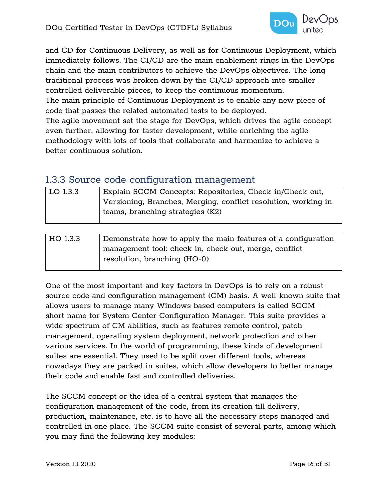

and CD for Continuous Delivery, as well as for Continuous Deployment, which immediately follows. The CI/CD are the main enablement rings in the DevOps chain and the main contributors to achieve the DevOps objectives. The long traditional process was broken down by the CI/CD approach into smaller controlled deliverable pieces, to keep the continuous momentum. The main principle of Continuous Deployment is to enable any new piece of code that passes the related automated tests to be deployed. The agile movement set the stage for DevOps, which drives the agile concept even further, allowing for faster development, while enriching the agile methodology with lots of tools that collaborate and harmonize to achieve a better continuous solution.

#### <span id="page-15-0"></span>1.3.3 Source code configuration management

| $LO-1.3.3$ | Explain SCCM Concepts: Repositories, Check-in/Check-out,       |
|------------|----------------------------------------------------------------|
|            | Versioning, Branches, Merging, conflict resolution, working in |
|            | teams, branching strategies (K2)                               |
|            |                                                                |
|            |                                                                |
| $HO-1.3.3$ | Demonstrate how to apply the main features of a configuration  |
|            | management tool: check-in, check-out, merge, conflict          |
|            | resolution, branching (HO-0)                                   |

One of the most important and key factors in DevOps is to rely on a robust source code and configuration management (CM) basis. A well-known suite that allows users to manage many Windows based computers is called SCCM – short name for System Center Configuration Manager. This suite provides a wide spectrum of CM abilities, such as features remote control, patch management, operating system deployment, network protection and other various services. In the world of programming, these kinds of development suites are essential. They used to be split over different tools, whereas nowadays they are packed in suites, which allow developers to better manage their code and enable fast and controlled deliveries.

The SCCM concept or the idea of a central system that manages the configuration management of the code, from its creation till delivery, production, maintenance, etc. is to have all the necessary steps managed and controlled in one place. The SCCM suite consist of several parts, among which you may find the following key modules: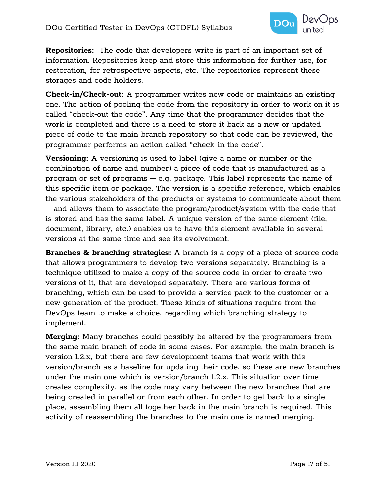

**Repositories:** The code that developers write is part of an important set of information. Repositories keep and store this information for further use, for restoration, for retrospective aspects, etc. The repositories represent these storages and code holders.

**Check-in/Check-out:** A programmer writes new code or maintains an existing one. The action of pooling the code from the repository in order to work on it is called "check-out the code". Any time that the programmer decides that the work is completed and there is a need to store it back as a new or updated piece of code to the main branch repository so that code can be reviewed, the programmer performs an action called "check-in the code".

**Versioning:** A versioning is used to label (give a name or number or the combination of name and number) a piece of code that is manufactured as a program or set of programs – e.g. package. This label represents the name of this specific item or package. The version is a specific reference, which enables the various stakeholders of the products or systems to communicate about them – and allows them to associate the program/product/system with the code that is stored and has the same label. A unique version of the same element (file, document, library, etc.) enables us to have this element available in several versions at the same time and see its evolvement.

**Branches & branching strategies:** A branch is a copy of a piece of source code that allows programmers to develop two versions separately. Branching is a technique utilized to make a copy of the source code in order to create two versions of it, that are developed separately. There are various forms of branching, which can be used to provide a service pack to the customer or a new generation of the product. These kinds of situations require from the DevOps team to make a choice, regarding which branching strategy to implement.

**Merging:** Many branches could possibly be altered by the programmers from the same main branch of code in some cases. For example, the main branch is version 1.2.x, but there are few development teams that work with this version/branch as a baseline for updating their code, so these are new branches under the main one which is version/branch 1.2.x. This situation over time creates complexity, as the code may vary between the new branches that are being created in parallel or from each other. In order to get back to a single place, assembling them all together back in the main branch is required. This activity of reassembling the branches to the main one is named merging.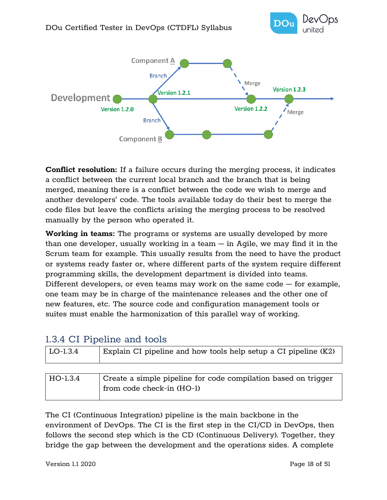



**Conflict resolution:** If a failure occurs during the merging process, it indicates a conflict between the current local branch and the branch that is being merged, meaning there is a conflict between the code we wish to merge and another developers' code. The tools available today do their best to merge the code files but leave the conflicts arising the merging process to be resolved manually by the person who operated it.

**Working in teams:** The programs or systems are usually developed by more than one developer, usually working in a team  $-$  in Agile, we may find it in the Scrum team for example. This usually results from the need to have the product or systems ready faster or, where different parts of the system require different programming skills, the development department is divided into teams. Different developers, or even teams may work on the same code – for example, one team may be in charge of the maintenance releases and the other one of new features, etc. The source code and configuration management tools or suites must enable the harmonization of this parallel way of working.

#### <span id="page-17-0"></span>1.3.4 CI Pipeline and tools

| LO-1.3.4 | Explain CI pipeline and how tools help setup a CI pipeline (K2) |
|----------|-----------------------------------------------------------------|
|          |                                                                 |
| HO-1.3.4 | Create a simple pipeline for code compilation based on trigger  |
|          | from code check-in (HO-1)                                       |

The CI (Continuous Integration) pipeline is the main backbone in the environment of DevOps. The CI is the first step in the CI/CD in DevOps, then follows the second step which is the CD (Continuous Delivery). Together, they bridge the gap between the development and the operations sides. A complete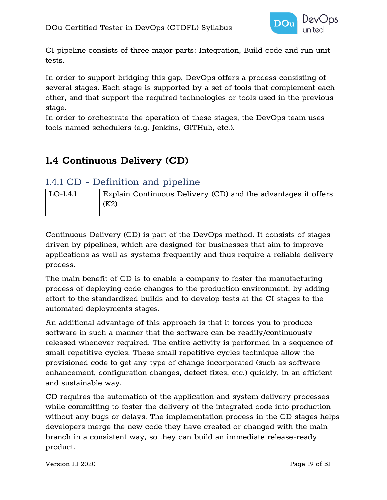

CI pipeline consists of three major parts: Integration, Build code and run unit tests.

In order to support bridging this gap, DevOps offers a process consisting of several stages. Each stage is supported by a set of tools that complement each other, and that support the required technologies or tools used in the previous stage.

In order to orchestrate the operation of these stages, the DevOps team uses tools named schedulers (e.g. Jenkins, GiTHub, etc.).

## <span id="page-18-0"></span>**1.4 Continuous Delivery (CD)**

## <span id="page-18-1"></span>1.4.1 CD - Definition and pipeline

| $\vert$ LO-1.4.1 | Explain Continuous Delivery (CD) and the advantages it offers |
|------------------|---------------------------------------------------------------|
|                  | (K2)                                                          |

Continuous Delivery (CD) is part of the DevOps method. It consists of stages driven by pipelines, which are designed for businesses that aim to improve applications as well as systems frequently and thus require a reliable delivery process.

The main benefit of CD is to enable a company to foster the manufacturing process of deploying code changes to the production environment, by adding effort to the standardized builds and to develop tests at the CI stages to the automated deployments stages.

An additional advantage of this approach is that it forces you to produce software in such a manner that the software can be readily/continuously released whenever required. The entire activity is performed in a sequence of small repetitive cycles. These small repetitive cycles technique allow the provisioned code to get any type of change incorporated (such as software enhancement, configuration changes, defect fixes, etc.) quickly, in an efficient and sustainable way.

CD requires the automation of the application and system delivery processes while committing to foster the delivery of the integrated code into production without any bugs or delays. The implementation process in the CD stages helps developers merge the new code they have created or changed with the main branch in a consistent way, so they can build an immediate release-ready product.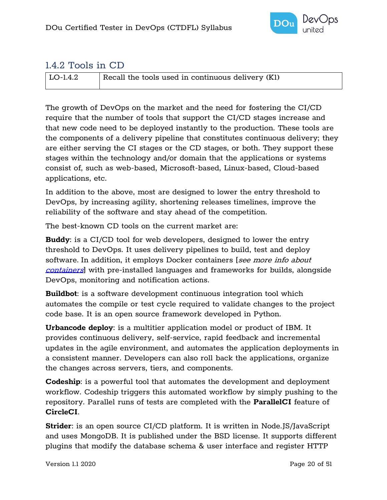

## <span id="page-19-0"></span>1.4.2 Tools in CD

| LO-1.4.2 | Recall the tools used in continuous delivery $(K1)$ |
|----------|-----------------------------------------------------|
|          |                                                     |

The growth of DevOps on the market and the need for fostering the CI/CD require that the number of tools that support the CI/CD stages increase and that new code need to be deployed instantly to the production. These tools are the components of a delivery pipeline that constitutes continuous delivery; they are either serving the CI stages or the CD stages, or both. They support these stages within the technology and/or domain that the applications or systems consist of, such as web-based, Microsoft-based, Linux-based, Cloud-based applications, etc.

In addition to the above, most are designed to lower the entry threshold to DevOps, by increasing agility, shortening releases timelines, improve the reliability of the software and stay ahead of the competition.

The best-known CD tools on the current market are:

**Buddy**: is a CI/CD tool for web developers, designed to lower the entry threshold to DevOps. It uses delivery pipelines to build, test and deploy software. In addition, it employs Docker containers [see more info about [containers](#page-44-0)] with pre-installed languages and frameworks for builds, alongside DevOps, monitoring and notification actions.

**Buildbot**: is a software development continuous integration tool which automates the compile or test cycle required to validate changes to the project code base. It is an open source framework developed in Python.

**Urbancode deploy**: is a multitier application model or product of IBM. It provides continuous delivery, self-service, rapid feedback and incremental updates in the agile environment, and automates the application deployments in a consistent manner. Developers can also roll back the applications, organize the changes across servers, tiers, and components.

**Codeship**: is a powerful tool that automates the development and deployment workflow. Codeship triggers this automated workflow by simply pushing to the repository. Parallel runs of tests are completed with the **ParallelCI** feature of **CircleCI**.

**Strider**: is an open source CI/CD platform. It is written in Node.JS/JavaScript and uses MongoDB. It is published under the BSD license. It supports different plugins that modify the database schema & user interface and register HTTP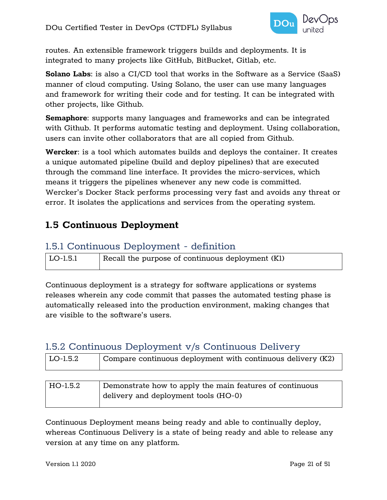

routes. An extensible framework triggers builds and deployments. It is integrated to many projects like GitHub, BitBucket, Gitlab, etc.

**Solano Labs**: is also a CI/CD tool that works in the Software as a Service (SaaS) manner of cloud computing. Using Solano, the user can use many languages and framework for writing their code and for testing. It can be integrated with other projects, like Github.

**Semaphore**: supports many languages and frameworks and can be integrated with Github. It performs automatic testing and deployment. Using collaboration, users can invite other collaborators that are all copied from Github.

**Wercker**: is a tool which automates builds and deploys the container. It creates a unique automated pipeline (build and deploy pipelines) that are executed through the command line interface. It provides the micro-services, which means it triggers the pipelines whenever any new code is committed. Wercker's Docker Stack performs processing very fast and avoids any threat or error. It isolates the applications and services from the operating system.

## <span id="page-20-0"></span>**1.5 Continuous Deployment**

#### <span id="page-20-1"></span>1.5.1 Continuous Deployment - definition

| LO-1.5.1 | Recall the purpose of continuous deployment (K1) |
|----------|--------------------------------------------------|
|          |                                                  |

Continuous deployment is a strategy for software applications or systems releases wherein any code commit that passes the automated testing phase is automatically released into the production environment, making changes that are visible to the software's users.

## <span id="page-20-2"></span>1.5.2 Continuous Deployment v/s Continuous Delivery

| LO-1.5.2 | Compare continuous deployment with continuous delivery (K2) |
|----------|-------------------------------------------------------------|
|          |                                                             |
| HO-1.5.2 | Demonstrate how to apply the main features of continuous    |
|          | delivery and deployment tools (HO-0)                        |

Continuous Deployment means being ready and able to continually deploy, whereas Continuous Delivery is a state of being ready and able to release any version at any time on any platform.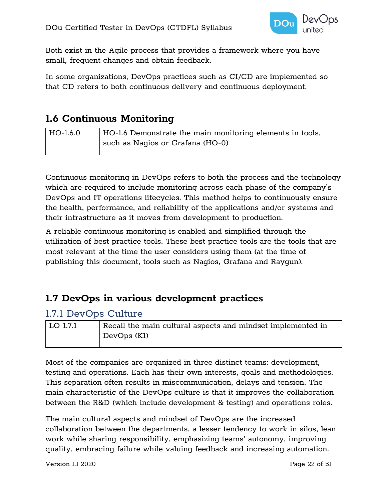

Both exist in the Agile process that provides a framework where you have small, frequent changes and obtain feedback.

In some organizations, DevOps practices such as CI/CD are implemented so that CD refers to both continuous delivery and continuous deployment.

## <span id="page-21-0"></span>**1.6 Continuous Monitoring**

| HO-1.6.0 | HO-1.6 Demonstrate the main monitoring elements in tools, |
|----------|-----------------------------------------------------------|
|          | such as Nagios or Grafana (HO-0)                          |

Continuous monitoring in DevOps refers to both the process and the technology which are required to include monitoring across each phase of the company's DevOps and IT operations lifecycles. This method helps to continuously ensure the health, performance, and reliability of the applications and/or systems and their infrastructure as it moves from development to production.

A reliable continuous monitoring is enabled and simplified through the utilization of best practice tools. These best practice tools are the tools that are most relevant at the time the user considers using them (at the time of publishing this document, tools such as Nagios, Grafana and Raygun).

## <span id="page-21-1"></span>**1.7 DevOps in various development practices**

#### <span id="page-21-2"></span>1.7.1 DevOps Culture

| LO-1.7.1 | Recall the main cultural aspects and mindset implemented in |
|----------|-------------------------------------------------------------|
|          | $\vert$ DevOps (K1)                                         |

Most of the companies are organized in three distinct teams: development, testing and operations. Each has their own interests, goals and methodologies. This separation often results in miscommunication, delays and tension. The main characteristic of the DevOps culture is that it improves the collaboration between the R&D (which include development & testing) and operations roles.

The main cultural aspects and mindset of DevOps are the increased collaboration between the departments, a lesser tendency to work in silos, lean work while sharing responsibility, emphasizing teams' autonomy, improving quality, embracing failure while valuing feedback and increasing automation.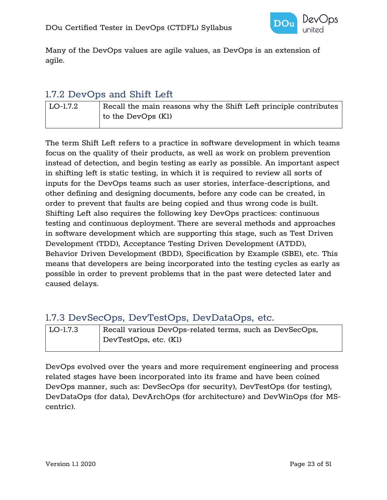

Many of the DevOps values are agile values, as DevOps is an extension of agile.

#### <span id="page-22-0"></span>1.7.2 DevOps and Shift Left

LO-1.7.2 Recall the main reasons why the Shift Left principle contributes to the DevOps (K1)

The term Shift Left refers to a practice in software development in which teams focus on the quality of their products, as well as work on problem prevention instead of detection, and begin testing as early as possible. An important aspect in shifting left is static testing, in which it is required to review all sorts of inputs for the DevOps teams such as user stories, interface-descriptions, and other defining and designing documents, before any code can be created, in order to prevent that faults are being copied and thus wrong code is built. Shifting Left also requires the following key DevOps practices: continuous testing and continuous deployment. There are several methods and approaches in software development which are supporting this stage, such as Test Driven Development (TDD), Acceptance Testing Driven Development (ATDD), Behavior Driven Development (BDD), Specification by Example (SBE), etc. This means that developers are being incorporated into the testing cycles as early as possible in order to prevent problems that in the past were detected later and caused delays.

## <span id="page-22-1"></span>1.7.3 DevSecOps, DevTestOps, DevDataOps, etc.

| LO-1.7.3 | Recall various DevOps-related terms, such as DevSecOps, |
|----------|---------------------------------------------------------|
|          | DevTestOps, etc. (Kl)                                   |

DevOps evolved over the years and more requirement engineering and process related stages have been incorporated into its frame and have been coined DevOps manner, such as: DevSecOps (for security), DevTestOps (for testing), DevDataOps (for data), DevArchOps (for architecture) and DevWinOps (for MScentric).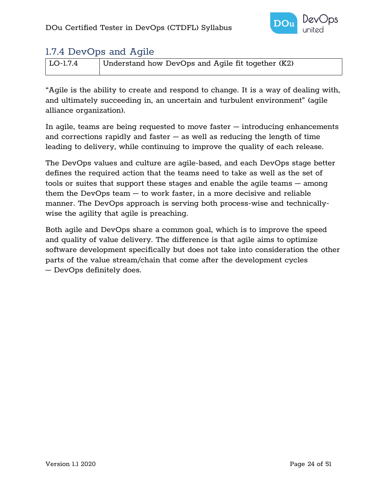

## <span id="page-23-0"></span>1.7.4 DevOps and Agile

| LO-1.7.4 | Understand how DevOps and Agile fit together (K2) |
|----------|---------------------------------------------------|

"Agile is the ability to create and respond to change. It is a way of dealing with, and ultimately succeeding in, an uncertain and turbulent environment" (agile alliance organization).

In agile, teams are being requested to move faster – introducing enhancements and corrections rapidly and faster  $-$  as well as reducing the length of time leading to delivery, while continuing to improve the quality of each release.

The DevOps values and culture are agile-based, and each DevOps stage better defines the required action that the teams need to take as well as the set of tools or suites that support these stages and enable the agile teams – among them the DevOps team  $-$  to work faster, in a more decisive and reliable manner. The DevOps approach is serving both process-wise and technicallywise the agility that agile is preaching.

Both agile and DevOps share a common goal, which is to improve the speed and quality of value delivery. The difference is that agile aims to optimize software development specifically but does not take into consideration the other parts of the value stream/chain that come after the development cycles – DevOps definitely does.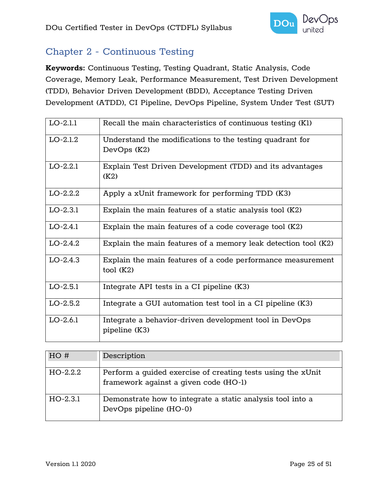

## <span id="page-24-0"></span>Chapter 2 - Continuous Testing

**Keywords:** Continuous Testing, Testing Quadrant, Static Analysis, Code Coverage, Memory Leak, Performance Measurement, Test Driven Development (TDD), Behavior Driven Development (BDD), Acceptance Testing Driven Development (ATDD), CI Pipeline, DevOps Pipeline, System Under Test (SUT)

| $LO-2.1.1$ | Recall the main characteristics of continuous testing (K1)                   |
|------------|------------------------------------------------------------------------------|
| $LO-2.1.2$ | Understand the modifications to the testing quadrant for<br>DevOps (K2)      |
| $LO-2.2.1$ | Explain Test Driven Development (TDD) and its advantages<br>(K2)             |
| $LO-2.2.2$ | Apply a xUnit framework for performing TDD (K3)                              |
| $LO-2.3.1$ | Explain the main features of a static analysis tool (K2)                     |
| $LO-2.4.1$ | Explain the main features of a code coverage tool (K2)                       |
| $LO-2.4.2$ | Explain the main features of a memory leak detection tool (K2)               |
| $LO-2.4.3$ | Explain the main features of a code performance measurement<br>$tool$ $(K2)$ |
| $LO-2.5.1$ | Integrate API tests in a CI pipeline (K3)                                    |
| $LO-2.5.2$ | Integrate a GUI automation test tool in a CI pipeline (K3)                   |
| $LO-2.6.1$ | Integrate a behavior-driven development tool in DevOps<br>pipeline (K3)      |

| HO#        | Description                                                                                          |
|------------|------------------------------------------------------------------------------------------------------|
| $HO-2.2.2$ | Perform a quided exercise of creating tests using the xUnit<br>framework against a given code (HO-1) |
| $HO-2.3.1$ | Demonstrate how to integrate a static analysis tool into a<br>DevOps pipeline (HO-0)                 |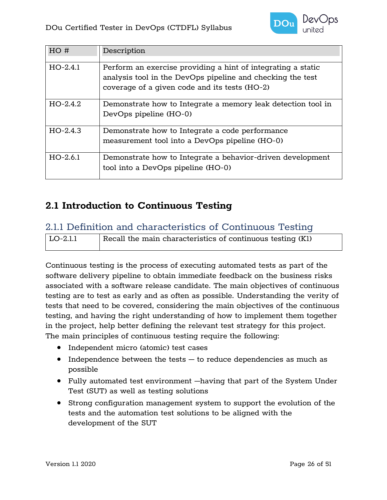

| HO#        | Description                                                                                                                                                                 |
|------------|-----------------------------------------------------------------------------------------------------------------------------------------------------------------------------|
| $HO-2.4.1$ | Perform an exercise providing a hint of integrating a static<br>analysis tool in the DevOps pipeline and checking the test<br>coverage of a given code and its tests (HO-2) |
| $HO-2.4.2$ | Demonstrate how to Integrate a memory leak detection tool in<br>DevOps pipeline (HO-0)                                                                                      |
| $HO-2.4.3$ | Demonstrate how to Integrate a code performance<br>measurement tool into a DevOps pipeline (HO-0)                                                                           |
| $HO-2.6.1$ | Demonstrate how to Integrate a behavior-driven development<br>tool into a DevOps pipeline (HO-0)                                                                            |

## <span id="page-25-0"></span>**2.1 Introduction to Continuous Testing**

#### <span id="page-25-1"></span>2.1.1 Definition and characteristics of Continuous Testing

| LO-2.1.1 | Recall the main characteristics of continuous testing (K1) |
|----------|------------------------------------------------------------|
|          |                                                            |

Continuous testing is the process of executing automated tests as part of the software delivery pipeline to obtain immediate feedback on the business risks associated with a software release candidate. The main objectives of continuous testing are to test as early and as often as possible. Understanding the verity of tests that need to be covered, considering the main objectives of the continuous testing, and having the right understanding of how to implement them together in the project, help better defining the relevant test strategy for this project. The main principles of continuous testing require the following:

- Independent micro (atomic) test cases
- Independence between the tests  $-$  to reduce dependencies as much as possible
- Fully automated test environment –having that part of the System Under Test (SUT) as well as testing solutions
- Strong configuration management system to support the evolution of the tests and the automation test solutions to be aligned with the development of the SUT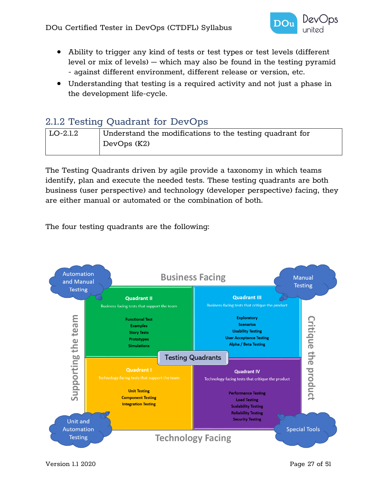

- Ability to trigger any kind of tests or test types or test levels (different level or mix of levels) – which may also be found in the testing pyramid - against different environment, different release or version, etc.
- Understanding that testing is a required activity and not just a phase in the development life-cycle.

## <span id="page-26-0"></span>2.1.2 Testing Quadrant for DevOps

| $\vert$ LO-2.1.2 | Understand the modifications to the testing quadrant for |
|------------------|----------------------------------------------------------|
|                  | DevOps (K2)                                              |

The Testing Quadrants driven by agile provide a taxonomy in which teams identify, plan and execute the needed tests. These testing quadrants are both business (user perspective) and technology (developer perspective) facing, they are either manual or automated or the combination of both.

The four testing quadrants are the following:

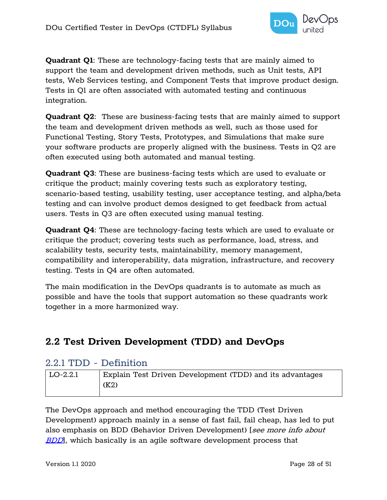

**Quadrant Q1**: These are technology-facing tests that are mainly aimed to support the team and development driven methods, such as Unit tests, API tests, Web Services testing, and Component Tests that improve product design. Tests in Q1 are often associated with automated testing and continuous integration.

**Quadrant Q2**: These are business-facing tests that are mainly aimed to support the team and development driven methods as well, such as those used for Functional Testing, Story Tests, Prototypes, and Simulations that make sure your software products are properly aligned with the business. Tests in Q2 are often executed using both automated and manual testing.

**Quadrant Q3**: These are business-facing tests which are used to evaluate or critique the product; mainly covering tests such as exploratory testing, scenario-based testing, usability testing, user acceptance testing, and alpha/beta testing and can involve product demos designed to get feedback from actual users. Tests in Q3 are often executed using manual testing.

**Quadrant Q4**: These are technology-facing tests which are used to evaluate or critique the product; covering tests such as performance, load, stress, and scalability tests, security tests, maintainability, memory management, compatibility and interoperability, data migration, infrastructure, and recovery testing. Tests in Q4 are often automated.

The main modification in the DevOps quadrants is to automate as much as possible and have the tools that support automation so these quadrants work together in a more harmonized way.

## <span id="page-27-0"></span>**2.2 Test Driven Development (TDD) and DevOps**

#### <span id="page-27-1"></span>2.2.1 TDD - Definition

| $\overline{LO}$ -2.2.1 | Explain Test Driven Development (TDD) and its advantages |
|------------------------|----------------------------------------------------------|
|                        | (K2)                                                     |
|                        |                                                          |

The DevOps approach and method encouraging the TDD (Test Driven Development) approach mainly in a sense of fast fail, fail cheap, has led to put also emphasis on BDD (Behavior Driven Development) [see more info about [BDD](#page-32-1), which basically is an agile software development process that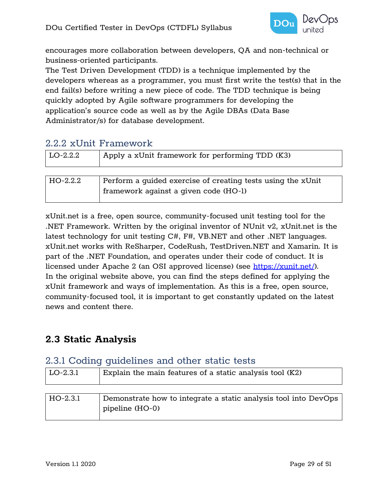

encourages more collaboration between developers, QA and non-technical or business-oriented participants.

The Test Driven Development (TDD) is a technique implemented by the developers whereas as a programmer, you must first write the test(s) that in the end fail(s) before writing a new piece of code. The TDD technique is being quickly adopted by Agile software programmers for developing the application's source code as well as by the Agile DBAs (Data Base Administrator/s) for database development.

## <span id="page-28-0"></span>2.2.2 xUnit Framework

| $\vert$ LO-2.2.2 | Apply a xUnit framework for performing TDD (K3)             |
|------------------|-------------------------------------------------------------|
|                  |                                                             |
| HO-2.2.2         | Perform a quided exercise of creating tests using the xUnit |

framework against a given code (HO-1)

xUnit.net is a free, open source, community-focused unit testing tool for the .NET Framework. Written by the original inventor of NUnit v2, xUnit.net is the latest technology for unit testing C#, F#, VB.NET and other .NET languages. xUnit.net works with ReSharper, CodeRush, TestDriven.NET and Xamarin. It is part of the .NET Foundation, and operates under their code of conduct. It is licensed under Apache 2 (an OSI approved license) (see [https://xunit.net/\)](https://xunit.net/). In the original website above, you can find the steps defined for applying the xUnit framework and ways of implementation. As this is a free, open source, community-focused tool, it is important to get constantly updated on the latest news and content there.

## <span id="page-28-1"></span>**2.3 Static Analysis**

#### <span id="page-28-2"></span>2.3.1 Coding guidelines and other static tests

pipeline (HO-0)

| $ $ LO-2.3.1 | Explain the main features of a static analysis tool (K2)        |
|--------------|-----------------------------------------------------------------|
|              |                                                                 |
| HO-2.3.1     | Demonstrate how to integrate a static analysis tool into DevOps |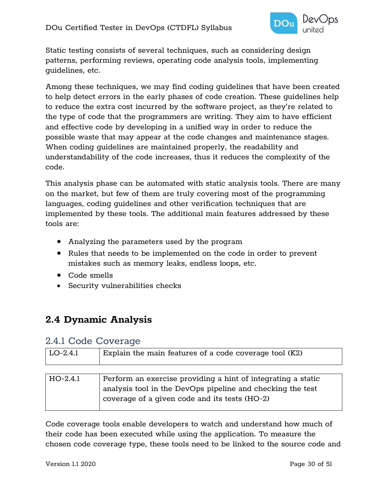

Static testing consists of several techniques, such as considering design patterns, performing reviews, operating code analysis tools, implementing guidelines, etc.

Among these techniques, we may find coding guidelines that have been created to help detect errors in the early phases of code creation. These guidelines help to reduce the extra cost incurred by the software project, as they're related to the type of code that the programmers are writing. They aim to have efficient and effective code by developing in a unified way in order to reduce the possible waste that may appear at the code changes and maintenance stages. When coding guidelines are maintained properly, the readability and understandability of the code increases, thus it reduces the complexity of the code.

This analysis phase can be automated with static analysis tools. There are many on the market, but few of them are truly covering most of the programming languages, coding guidelines and other verification techniques that are implemented by these tools. The additional main features addressed by these tools are:

- Analyzing the parameters used by the program
- Rules that needs to be implemented on the code in order to prevent mistakes such as memory leaks, endless loops, etc.
- Code smells
- Security vulnerabilities checks

## <span id="page-29-0"></span>**2.4 Dynamic Analysis**

#### <span id="page-29-1"></span>2.4.1 Code Coverage

| $LO-2.4.1$ | Explain the main features of a code coverage tool (K2)                                                                                                                      |
|------------|-----------------------------------------------------------------------------------------------------------------------------------------------------------------------------|
|            |                                                                                                                                                                             |
| $HO-2.4.1$ | Perform an exercise providing a hint of integrating a static<br>analysis tool in the DevOps pipeline and checking the test<br>coverage of a given code and its tests (HO-2) |

Code coverage tools enable developers to watch and understand how much of their code has been executed while using the application. To measure the chosen code coverage type, these tools need to be linked to the source code and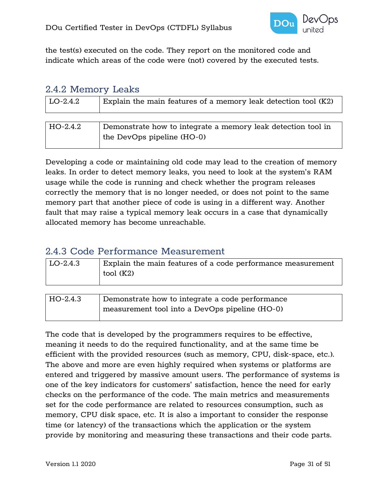

the test(s) executed on the code. They report on the monitored code and indicate which areas of the code were (not) covered by the executed tests.

#### <span id="page-30-0"></span>2.4.2 Memory Leaks

| $ $ LO-2.4.2 | Explain the main features of a memory leak detection tool (K2) |
|--------------|----------------------------------------------------------------|
|              |                                                                |
| $HO-2.4.2$   | Demonstrate how to integrate a memory leak detection tool in   |
|              | the DevOps pipeline (HO-0)                                     |

Developing a code or maintaining old code may lead to the creation of memory leaks. In order to detect memory leaks, you need to look at the system's RAM usage while the code is running and check whether the program releases correctly the memory that is no longer needed, or does not point to the same memory part that another piece of code is using in a different way. Another fault that may raise a typical memory leak occurs in a case that dynamically allocated memory has become unreachable.

#### <span id="page-30-1"></span>2.4.3 Code Performance Measurement

| LO-2.4.3 | Explain the main features of a code performance measurement<br>tool (K2) |
|----------|--------------------------------------------------------------------------|
|          |                                                                          |

| HO-2.4.3 | Demonstrate how to integrate a code performance |
|----------|-------------------------------------------------|
|          | measurement tool into a DevOps pipeline (HO-0)  |

The code that is developed by the programmers requires to be effective, meaning it needs to do the required functionality, and at the same time be efficient with the provided resources (such as memory, CPU, disk-space, etc.). The above and more are even highly required when systems or platforms are entered and triggered by massive amount users. The performance of systems is one of the key indicators for customers' satisfaction, hence the need for early checks on the performance of the code. The main metrics and measurements set for the code performance are related to resources consumption, such as memory, CPU disk space, etc. It is also a important to consider the response time (or latency) of the transactions which the application or the system provide by monitoring and measuring these transactions and their code parts.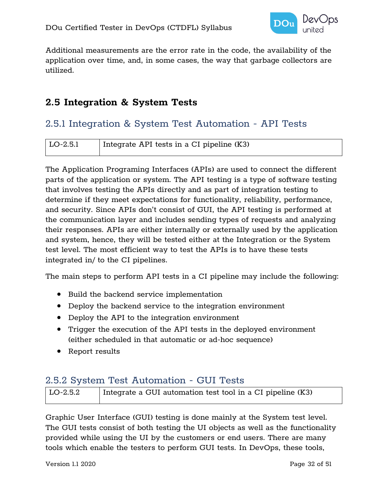

Additional measurements are the error rate in the code, the availability of the application over time, and, in some cases, the way that garbage collectors are utilized.

## <span id="page-31-0"></span>**2.5 Integration & System Tests**

## <span id="page-31-1"></span>2.5.1 Integration & System Test Automation - API Tests

| LO-2.5.1 | Integrate API tests in a CI pipeline (K3) |
|----------|-------------------------------------------|
|          |                                           |

The Application Programing Interfaces (APIs) are used to connect the different parts of the application or system. The API testing is a type of software testing that involves testing the APIs directly and as part of integration testing to determine if they meet expectations for functionality, reliability, performance, and security. Since APIs don't consist of GUI, the API testing is performed at the communication layer and includes sending types of requests and analyzing their responses. APIs are either internally or externally used by the application and system, hence, they will be tested either at the Integration or the System test level. The most efficient way to test the APIs is to have these tests integrated in/ to the CI pipelines.

The main steps to perform API tests in a CI pipeline may include the following:

- Build the backend service implementation
- Deploy the backend service to the integration environment
- Deploy the API to the integration environment
- Trigger the execution of the API tests in the deployed environment (either scheduled in that automatic or ad-hoc sequence)
- Report results

## <span id="page-31-2"></span>2.5.2 System Test Automation - GUI Tests

| LO-2.5.2 | Integrate a GUI automation test tool in a CI pipeline (K3) |
|----------|------------------------------------------------------------|
|          |                                                            |

Graphic User Interface (GUI) testing is done mainly at the System test level. The GUI tests consist of both testing the UI objects as well as the functionality provided while using the UI by the customers or end users. There are many tools which enable the testers to perform GUI tests. In DevOps, these tools,

Version 1.1 2020 Page 32 of 51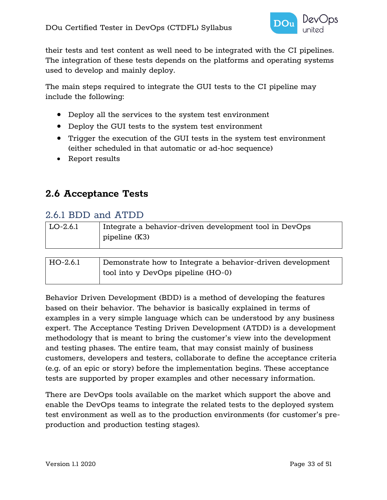

their tests and test content as well need to be integrated with the CI pipelines. The integration of these tests depends on the platforms and operating systems used to develop and mainly deploy.

The main steps required to integrate the GUI tests to the CI pipeline may include the following:

- Deploy all the services to the system test environment
- Deploy the GUI tests to the system test environment
- Trigger the execution of the GUI tests in the system test environment (either scheduled in that automatic or ad-hoc sequence)
- Report results

### <span id="page-32-0"></span>**2.6 Acceptance Tests**

#### <span id="page-32-1"></span>2.6.1 BDD and ATDD

| $ $ LO-2.6.1 | Integrate a behavior-driven development tool in DevOps |
|--------------|--------------------------------------------------------|
|              | pipeline (K3)                                          |
|              |                                                        |

| HO-2.6.1 | Demonstrate how to Integrate a behavior-driven development |
|----------|------------------------------------------------------------|
|          | tool into y DevOps pipeline (HO-0)                         |

Behavior Driven Development (BDD) is a method of developing the features based on their behavior. The behavior is basically explained in terms of examples in a very simple language which can be understood by any business expert. The Acceptance Testing Driven Development (ATDD) is a development methodology that is meant to bring the customer's view into the development and testing phases. The entire team, that may consist mainly of business customers, developers and testers, collaborate to define the acceptance criteria (e.g. of an epic or story) before the implementation begins. These acceptance tests are supported by proper examples and other necessary information.

There are DevOps tools available on the market which support the above and enable the DevOps teams to integrate the related tests to the deployed system test environment as well as to the production environments (for customer's preproduction and production testing stages).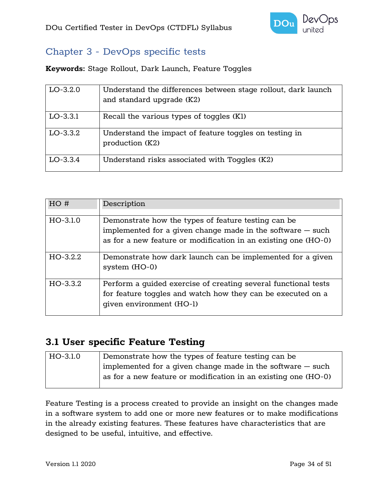

## <span id="page-33-0"></span>Chapter 3 - DevOps specific tests

**Keywords:** Stage Rollout, Dark Launch, Feature Toggles

| $LO-3.2.0$ | Understand the differences between stage rollout, dark launch<br>and standard upgrade (K2) |
|------------|--------------------------------------------------------------------------------------------|
| $LO-3.3.1$ | Recall the various types of toggles (Kl)                                                   |
| $LO-3.3.2$ | Understand the impact of feature toggles on testing in<br>production (K2)                  |
| $LO-3.3.4$ | Understand risks associated with Toggles (K2)                                              |

| HO#        | Description                                                                                                                                                                           |
|------------|---------------------------------------------------------------------------------------------------------------------------------------------------------------------------------------|
| $HO-3.1.0$ | Demonstrate how the types of feature testing can be<br>implemented for a given change made in the software $-$ such<br>as for a new feature or modification in an existing one (HO-0) |
| $HO-3.2.2$ | Demonstrate how dark launch can be implemented for a given<br>system $(HO-0)$                                                                                                         |
| $HO-3.3.2$ | Perform a quided exercise of creating several functional tests<br>for feature toggles and watch how they can be executed on a<br>qiven environment (HO-1)                             |

### <span id="page-33-1"></span>**3.1 User specific Feature Testing**

| HO-3.1.0 | Demonstrate how the types of feature testing can be            |
|----------|----------------------------------------------------------------|
|          | implemented for a given change made in the software $-$ such   |
|          | as for a new feature or modification in an existing one (HO-0) |
|          |                                                                |

Feature Testing is a process created to provide an insight on the changes made in a software system to add one or more new features or to make modifications in the already existing features. These features have characteristics that are designed to be useful, intuitive, and effective.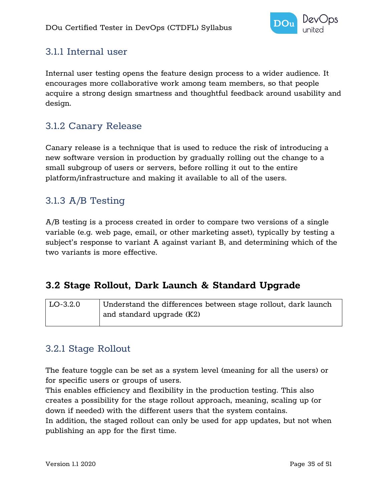

## <span id="page-34-0"></span>3.1.1 Internal user

Internal user testing opens the feature design process to a wider audience. It encourages more collaborative work among team members, so that people acquire a strong design smartness and thoughtful feedback around usability and design.

## <span id="page-34-1"></span>3.1.2 Canary Release

Canary release is a technique that is used to reduce the risk of introducing a new software version in production by gradually rolling out the change to a small subgroup of users or servers, before rolling it out to the entire platform/infrastructure and making it available to all of the users.

## <span id="page-34-2"></span>3.1.3 A/B Testing

A/B testing is a process created in order to compare two versions of a single variable (e.g. web page, email, or other marketing asset), typically by testing a subject's response to variant A against variant B, and determining which of the two variants is more effective.

## <span id="page-34-3"></span>**3.2 Stage Rollout, Dark Launch & Standard Upgrade**

| LO-3.2.0 | Understand the differences between stage rollout, dark launch |
|----------|---------------------------------------------------------------|
|          | $\vert$ and standard upgrade (K2)                             |

## <span id="page-34-4"></span>3.2.1 Stage Rollout

The feature toggle can be set as a system level (meaning for all the users) or for specific users or groups of users.

This enables efficiency and flexibility in the production testing. This also creates a possibility for the stage rollout approach, meaning, scaling up (or down if needed) with the different users that the system contains. In addition, the staged rollout can only be used for app updates, but not when publishing an app for the first time.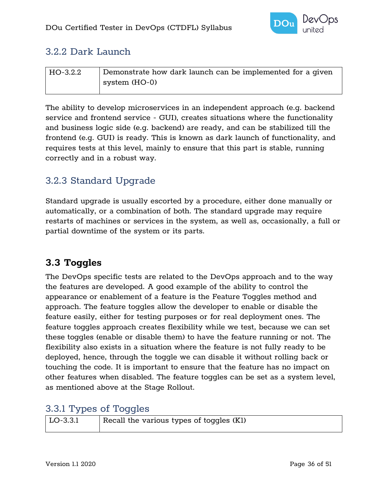

## <span id="page-35-0"></span>3.2.2 Dark Launch

| HO-3.2.2 | Demonstrate how dark launch can be implemented for a given |
|----------|------------------------------------------------------------|
|          | system (HO-0)                                              |

The ability to develop microservices in an independent approach (e.g. backend service and frontend service - GUI), creates situations where the functionality and business logic side (e.g. backend) are ready, and can be stabilized till the frontend (e.g. GUI) is ready. This is known as dark launch of functionality, and requires tests at this level, mainly to ensure that this part is stable, running correctly and in a robust way.

## <span id="page-35-1"></span>3.2.3 Standard Upgrade

Standard upgrade is usually escorted by a procedure, either done manually or automatically, or a combination of both. The standard upgrade may require restarts of machines or services in the system, as well as, occasionally, a full or partial downtime of the system or its parts.

## <span id="page-35-2"></span>**3.3 Toggles**

The DevOps specific tests are related to the DevOps approach and to the way the features are developed. A good example of the ability to control the appearance or enablement of a feature is the Feature Toggles method and approach. The feature toggles allow the developer to enable or disable the feature easily, either for testing purposes or for real deployment ones. The feature toggles approach creates flexibility while we test, because we can set these toggles (enable or disable them) to have the feature running or not. The flexibility also exists in a situation where the feature is not fully ready to be deployed, hence, through the toggle we can disable it without rolling back or touching the code. It is important to ensure that the feature has no impact on other features when disabled. The feature toggles can be set as a system level, as mentioned above at the Stage Rollout.

## <span id="page-35-3"></span>3.3.1 Types of Toggles

| $ $ LO-3.3.1 | Recall the various types of toggles (K1) |
|--------------|------------------------------------------|
|              |                                          |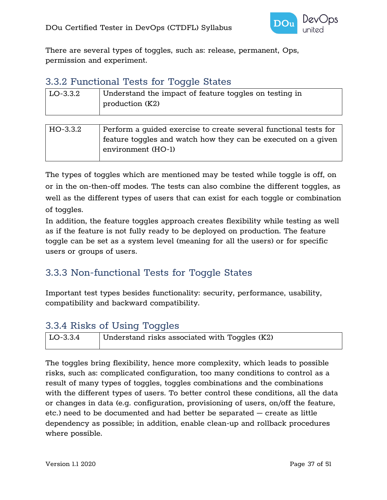

There are several types of toggles, such as: release, permanent, Ops, permission and experiment.

#### <span id="page-36-0"></span>3.3.2 Functional Tests for Toggle States

| $\overline{L}$ LO-3.3.2 | Understand the impact of feature toggles on testing in<br>production (K2) |
|-------------------------|---------------------------------------------------------------------------|
|                         |                                                                           |

| HO-3.3.2 | Perform a quided exercise to create several functional tests for |
|----------|------------------------------------------------------------------|
|          | feature toggles and watch how they can be executed on a given    |
|          | environment (HO-1)                                               |

The types of toggles which are mentioned may be tested while toggle is off, on or in the on-then-off modes. The tests can also combine the different toggles, as well as the different types of users that can exist for each toggle or combination of toggles.

In addition, the feature toggles approach creates flexibility while testing as well as if the feature is not fully ready to be deployed on production. The feature toggle can be set as a system level (meaning for all the users) or for specific users or groups of users.

## <span id="page-36-1"></span>3.3.3 Non-functional Tests for Toggle States

Important test types besides functionality: security, performance, usability, compatibility and backward compatibility.

## <span id="page-36-2"></span>3.3.4 Risks of Using Toggles

|              | ___                                             |
|--------------|-------------------------------------------------|
| $ $ LO-3.3.4 | Understand risks associated with Toggles $(K2)$ |

The toggles bring flexibility, hence more complexity, which leads to possible risks, such as: complicated configuration, too many conditions to control as a result of many types of toggles, toggles combinations and the combinations with the different types of users. To better control these conditions, all the data or changes in data (e.g. configuration, provisioning of users, on/off the feature, etc.) need to be documented and had better be separated – create as little dependency as possible; in addition, enable clean-up and rollback procedures where possible.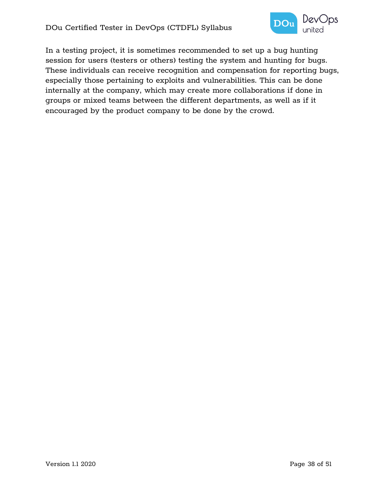

In a testing project, it is sometimes recommended to set up a bug hunting session for users (testers or others) testing the system and hunting for bugs. These individuals can receive recognition and compensation for reporting bugs, especially those pertaining to exploits and vulnerabilities. This can be done internally at the company, which may create more collaborations if done in groups or mixed teams between the different departments, as well as if it encouraged by the product company to be done by the crowd.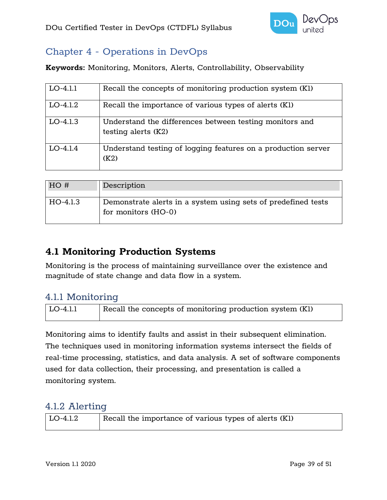

## <span id="page-38-0"></span>Chapter 4 - Operations in DevOps

**Keywords:** Monitoring, Monitors, Alerts, Controllability, Observability

| $LO-4.1.1$ | Recall the concepts of monitoring production system (K1)                         |
|------------|----------------------------------------------------------------------------------|
| $LO-4.1.2$ | Recall the importance of various types of alerts (K1)                            |
| $LO-4.1.3$ | Understand the differences between testing monitors and<br>testing alerts $(K2)$ |
| $LO-4.1.4$ | Understand testing of logging features on a production server<br>(K2)            |

| HO#      | Description                                                                          |
|----------|--------------------------------------------------------------------------------------|
|          |                                                                                      |
| HO-4.1.3 | Demonstrate alerts in a system using sets of predefined tests<br>for monitors (HO-0) |

## <span id="page-38-1"></span>**4.1 Monitoring Production Systems**

Monitoring is the process of maintaining surveillance over the existence and magnitude of state change and data flow in a system.

## <span id="page-38-2"></span>4.1.1 Monitoring

| $\overline{\rm LO}$ -4.1.1 | Recall the concepts of monitoring production system (K1) |
|----------------------------|----------------------------------------------------------|
|                            |                                                          |

Monitoring aims to identify faults and assist in their subsequent elimination. The techniques used in monitoring information systems intersect the fields of real-time processing, statistics, and data analysis. A set of software components used for data collection, their processing, and presentation is called a monitoring system.

#### <span id="page-38-3"></span>4.1.2 Alerting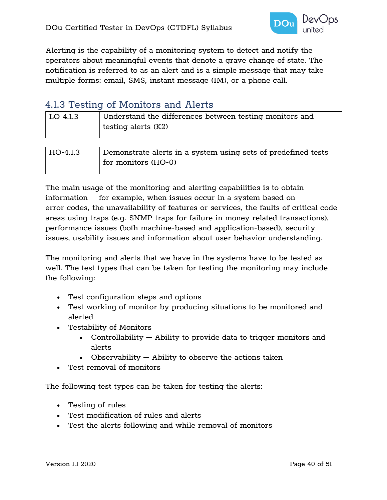

Alerting is the capability of a monitoring system to detect and notify the operators about meaningful events that denote a grave change of state. The notification is referred to as an alert and is a simple message that may take multiple forms: email, SMS, instant message (IM), or a phone call.

## <span id="page-39-0"></span>4.1.3 Testing of Monitors and Alerts

| LO-4.1.3 | Understand the differences between testing monitors and<br>testing alerts $(K2)$ |
|----------|----------------------------------------------------------------------------------|
|          |                                                                                  |
| HO-4.1.3 | Demonstrate alerts in a system using sets of predefined tests                    |
|          | for monitors (HO-0)                                                              |

The main usage of the monitoring and alerting capabilities is to obtain information – for example, when issues occur in a system based on error codes, the unavailability of features or services, the faults of critical code areas using traps (e.g. SNMP traps for failure in money related transactions), performance issues (both machine-based and application-based), security issues, usability issues and information about user behavior understanding.

The monitoring and alerts that we have in the systems have to be tested as well. The test types that can be taken for testing the monitoring may include the following:

- Test configuration steps and options
- Test working of monitor by producing situations to be monitored and alerted
- Testability of Monitors
	- Controllability Ability to provide data to trigger monitors and alerts
	- Observability Ability to observe the actions taken
- Test removal of monitors

The following test types can be taken for testing the alerts:

- Testing of rules
- Test modification of rules and alerts
- Test the alerts following and while removal of monitors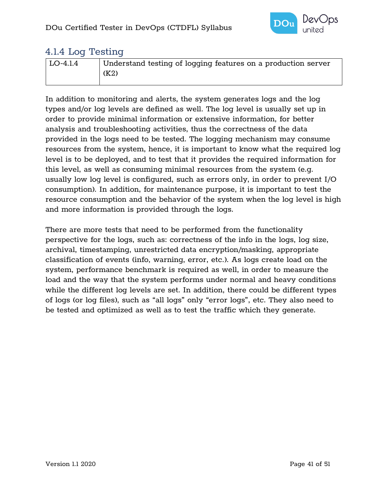

#### <span id="page-40-0"></span>4.1.4 Log Testing

| LO-4.1.4 | Understand testing of logging features on a production server |
|----------|---------------------------------------------------------------|
|          | (K2)                                                          |
|          |                                                               |

In addition to monitoring and alerts, the system generates logs and the log types and/or log levels are defined as well. The log level is usually set up in order to provide minimal information or extensive information, for better analysis and troubleshooting activities, thus the correctness of the data provided in the logs need to be tested. The logging mechanism may consume resources from the system, hence, it is important to know what the required log level is to be deployed, and to test that it provides the required information for this level, as well as consuming minimal resources from the system (e.g. usually low log level is configured, such as errors only, in order to prevent I/O consumption). In addition, for maintenance purpose, it is important to test the resource consumption and the behavior of the system when the log level is high and more information is provided through the logs.

There are more tests that need to be performed from the functionality perspective for the logs, such as: correctness of the info in the logs, log size, archival, timestamping, unrestricted data encryption/masking, appropriate classification of events (info, warning, error, etc.). As logs create load on the system, performance benchmark is required as well, in order to measure the load and the way that the system performs under normal and heavy conditions while the different log levels are set. In addition, there could be different types of logs (or log files), such as "all logs" only "error logs", etc. They also need to be tested and optimized as well as to test the traffic which they generate.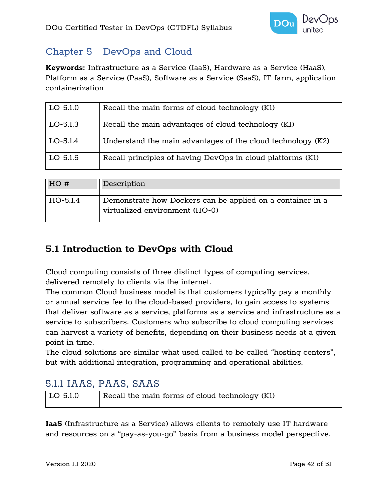

## <span id="page-41-0"></span>Chapter 5 - DevOps and Cloud

**Keywords:** Infrastructure as a Service (IaaS), Hardware as a Service (HaaS), Platform as a Service (PaaS), Software as a Service (SaaS), IT farm, application containerization

| $LO-5.1.0$ | Recall the main forms of cloud technology (Kl)              |
|------------|-------------------------------------------------------------|
| $LO-5.1.3$ | Recall the main advantages of cloud technology (K1)         |
| $LO-5.1.4$ | Understand the main advantages of the cloud technology (K2) |
| $LO-5.1.5$ | Recall principles of having DevOps in cloud platforms (K1)  |

| HO#      | Description                                                                                  |
|----------|----------------------------------------------------------------------------------------------|
| HO-5.1.4 | Demonstrate how Dockers can be applied on a container in a<br>virtualized environment (HO-0) |

## <span id="page-41-1"></span>**5.1 Introduction to DevOps with Cloud**

Cloud computing consists of three distinct types of computing services, delivered remotely to clients via the internet.

The common Cloud business model is that customers typically pay a monthly or annual service fee to the cloud-based providers, to gain access to systems that deliver software as a service, platforms as a service and infrastructure as a service to subscribers. Customers who subscribe to cloud computing services can harvest a variety of benefits, depending on their business needs at a given point in time.

The cloud solutions are similar what used called to be called "hosting centers", but with additional integration, programming and operational abilities.

## <span id="page-41-2"></span>5.1.1 IAAS, PAAS, SAAS

| $ $ LO-5.1.0 | Recall the main forms of cloud technology (K1) |
|--------------|------------------------------------------------|
|              |                                                |

**IaaS** (Infrastructure as a Service) allows clients to remotely use IT hardware and resources on a "pay-as-you-go" basis from a business model perspective.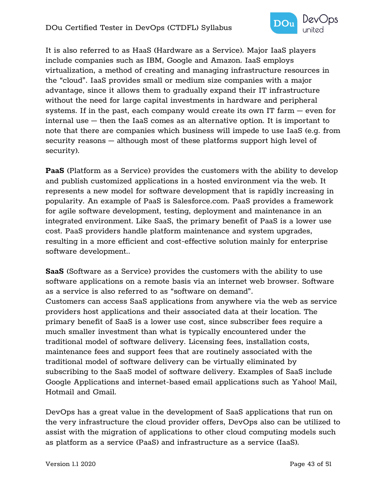

It is also referred to as HaaS (Hardware as a Service). Major IaaS players include companies such as IBM, Google and Amazon. IaaS employs virtualization, a method of creating and managing infrastructure resources in the "cloud". IaaS provides small or medium size companies with a major advantage, since it allows them to gradually expand their IT infrastructure without the need for large capital investments in hardware and peripheral systems. If in the past, each company would create its own IT farm – even for internal use – then the IaaS comes as an alternative option. It is important to note that there are companies which business will impede to use IaaS (e.g. from security reasons – although most of these platforms support high level of security).

**PaaS** (Platform as a Service) provides the customers with the ability to develop and publish customized applications in a hosted environment via the web. It represents a new model for software development that is rapidly increasing in popularity. An example of PaaS is Salesforce.com. PaaS provides a framework for agile software development, testing, deployment and maintenance in an integrated environment. Like SaaS, the primary benefit of PaaS is a lower use cost. PaaS providers handle platform maintenance and system upgrades, resulting in a more efficient and cost-effective solution mainly for enterprise software development..

**SaaS** (Software as a Service) provides the customers with the ability to use software applications on a remote basis via an internet web browser. Software as a service is also referred to as "software on demand". Customers can access SaaS applications from anywhere via the web as service providers host applications and their associated data at their location. The primary benefit of SaaS is a lower use cost, since subscriber fees require a much smaller investment than what is typically encountered under the traditional model of software delivery. Licensing fees, installation costs, maintenance fees and support fees that are routinely associated with the traditional model of software delivery can be virtually eliminated by subscribing to the SaaS model of software delivery. Examples of SaaS include Google Applications and internet-based email applications such as Yahoo! Mail, Hotmail and Gmail.

DevOps has a great value in the development of SaaS applications that run on the very infrastructure the cloud provider offers, DevOps also can be utilized to assist with the migration of applications to other cloud computing models such as platform as a service (PaaS) and infrastructure as a service (IaaS).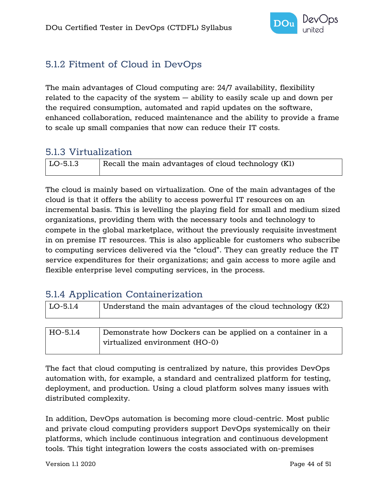

## <span id="page-43-0"></span>5.1.2 Fitment of Cloud in DevOps

The main advantages of Cloud computing are: 24/7 availability, flexibility related to the capacity of the system – ability to easily scale up and down per the required consumption, automated and rapid updates on the software, enhanced collaboration, reduced maintenance and the ability to provide a frame to scale up small companies that now can reduce their IT costs.

### <span id="page-43-1"></span>5.1.3 Virtualization

| LO-5.1.3 | $\mid$ Recall the main advantages of cloud technology (K1) |
|----------|------------------------------------------------------------|

The cloud is mainly based on virtualization. One of the main advantages of the cloud is that it offers the ability to access powerful IT resources on an incremental basis. This is levelling the playing field for small and medium sized organizations, providing them with the necessary tools and technology to compete in the global marketplace, without the previously requisite investment in on premise IT resources. This is also applicable for customers who subscribe to computing services delivered via the "cloud". They can greatly reduce the IT service expenditures for their organizations; and gain access to more agile and flexible enterprise level computing services, in the process.

## <span id="page-43-2"></span>5.1.4 Application Containerization

| LO-5.1.4 | Understand the main advantages of the cloud technology (K2)                                  |
|----------|----------------------------------------------------------------------------------------------|
|          |                                                                                              |
| HO-5.1.4 | Demonstrate how Dockers can be applied on a container in a<br>virtualized environment (HO-0) |

The fact that cloud computing is centralized by nature, this provides DevOps automation with, for example, a standard and centralized platform for testing, deployment, and production. Using a cloud platform solves many issues with distributed complexity.

In addition, DevOps automation is becoming more cloud-centric. Most public and private cloud computing providers support DevOps systemically on their platforms, which include continuous integration and continuous development tools. This tight integration lowers the costs associated with on-premises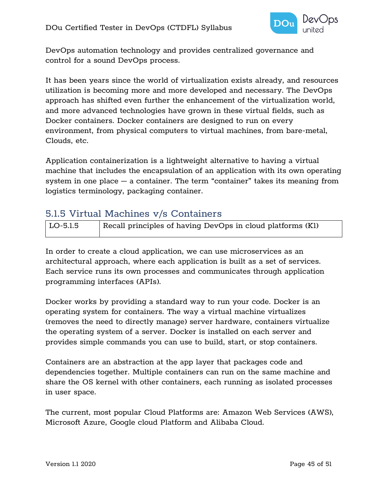

DevOps automation technology and provides centralized governance and control for a sound DevOps process.

It has been years since the world of virtualization exists already, and resources utilization is becoming more and more developed and necessary. The DevOps approach has shifted even further the enhancement of the virtualization world, and more advanced technologies have grown in these virtual fields, such as Docker containers. Docker containers are designed to run on every environment, from physical computers to virtual machines, from bare-metal, Clouds, etc.

Application containerization is a lightweight alternative to having a virtual machine that includes the encapsulation of an application with its own operating system in one place – a container. The term "container" takes its meaning from logistics terminology, packaging container.

## <span id="page-44-0"></span>5.1.5 Virtual Machines v/s Containers

| $\vert$ LO-5.1.5 | Recall principles of having DevOps in cloud platforms (K1) |
|------------------|------------------------------------------------------------|
|                  |                                                            |

In order to create a cloud application, we can use microservices as an architectural approach, where each application is built as a set of services. Each service runs its own processes and communicates through application programming interfaces (APIs).

Docker works by providing a standard way to run your code. Docker is an operating system for containers. The way a virtual machine virtualizes (removes the need to directly manage) server hardware, containers virtualize the operating system of a server. Docker is installed on each server and provides simple commands you can use to build, start, or stop containers.

Containers are an abstraction at the app layer that packages code and dependencies together. Multiple containers can run on the same machine and share the OS kernel with other containers, each running as isolated processes in user space.

The current, most popular Cloud Platforms are: Amazon Web Services (AWS), Microsoft Azure, Google cloud Platform and Alibaba Cloud.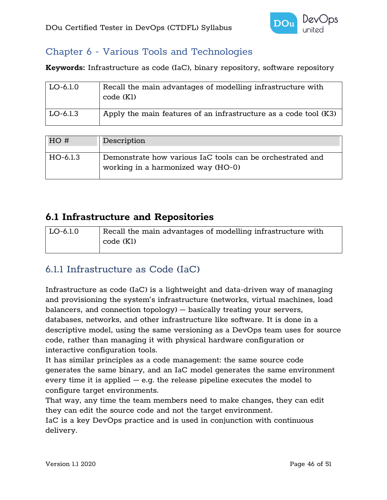

## <span id="page-45-0"></span>Chapter 6 - Various Tools and Technologies

**Keywords:** Infrastructure as code (IaC), binary repository, software repository

| $LO-6.1.0$ | Recall the main advantages of modelling infrastructure with<br>code (K1) |
|------------|--------------------------------------------------------------------------|
| $LO-6.1.3$ | Apply the main features of an infrastructure as a code tool (K3)         |

| HO#      | Description                                                                                     |
|----------|-------------------------------------------------------------------------------------------------|
| HO-6.1.3 | Demonstrate how various IaC tools can be orchestrated and<br>working in a harmonized way (HO-0) |

## <span id="page-45-1"></span>**6.1 Infrastructure and Repositories**

| $\mathsf{LO}\text{-}6.1.0$ | Recall the main advantages of modelling infrastructure with |
|----------------------------|-------------------------------------------------------------|
|                            | code (K1)                                                   |
|                            |                                                             |

## <span id="page-45-2"></span>6.1.1 Infrastructure as Code (IaC)

Infrastructure as code (IaC) is a lightweight and data-driven way of managing and provisioning the system's infrastructure (networks, virtual machines, load balancers, and connection topology) – basically treating your servers, databases, networks, and other infrastructure like software. It is done in a descriptive model, using the same versioning as a DevOps team uses for source code, rather than managing it with physical hardware configuration or interactive configuration tools.

It has similar principles as a code management: the same source code generates the same binary, and an IaC model generates the same environment every time it is applied  $-$  e.g. the release pipeline executes the model to configure target environments.

That way, any time the team members need to make changes, they can edit they can edit the source code and not the target environment.

IaC is a key DevOps practice and is used in conjunction with continuous delivery.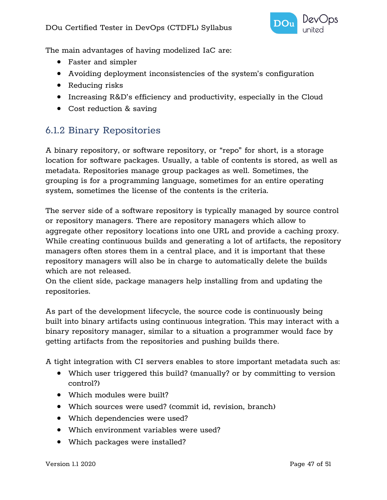

The main advantages of having modelized IaC are:

- Faster and simpler
- Avoiding deployment inconsistencies of the system's configuration
- Reducing risks
- Increasing R&D's efficiency and productivity, especially in the Cloud
- Cost reduction & saving

## <span id="page-46-0"></span>6.1.2 Binary Repositories

A binary repository, or software repository, or "repo" for short, is a storage location for software packages. Usually, a table of contents is stored, as well as metadata. Repositories manage group packages as well. Sometimes, the grouping is for a programming language, sometimes for an entire operating system, sometimes the license of the contents is the criteria.

The server side of a software repository is typically managed by source control or repository managers. There are repository managers which allow to aggregate other repository locations into one URL and provide a caching proxy. While creating continuous builds and generating a lot of artifacts, the repository managers often stores them in a central place, and it is important that these repository managers will also be in charge to automatically delete the builds which are not released.

On the client side, package managers help installing from and updating the repositories.

As part of the development lifecycle, the source code is continuously being built into binary artifacts using continuous integration. This may interact with a binary repository manager, similar to a situation a programmer would face by getting artifacts from the repositories and pushing builds there.

A tight integration with CI servers enables to store important metadata such as:

- Which user triggered this build? (manually? or by committing to version control?)
- Which modules were built?
- Which sources were used? (commit id, revision, branch)
- Which dependencies were used?
- Which environment variables were used?
- Which packages were installed?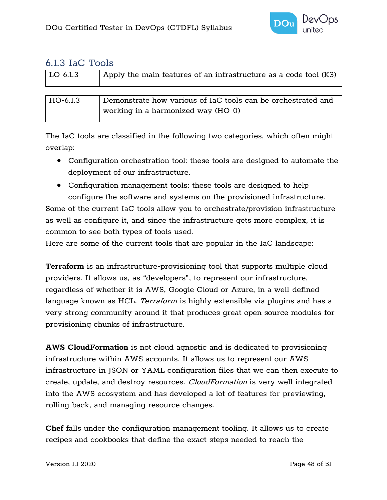

#### <span id="page-47-0"></span>6.1.3 IaC Tools

| LO-6.1.3 | Apply the main features of an infrastructure as a code tool (K3) |
|----------|------------------------------------------------------------------|
|          |                                                                  |
| HO-6.1.3 | Demonstrate how various of IaC tools can be orchestrated and     |
|          | working in a harmonized way (HO-0)                               |

The IaC tools are classified in the following two categories, which often might overlap:

- Configuration orchestration tool: these tools are designed to automate the deployment of our infrastructure.
- Configuration management tools: these tools are designed to help configure the software and systems on the provisioned infrastructure.

Some of the current IaC tools allow you to orchestrate/provision infrastructure as well as configure it, and since the infrastructure gets more complex, it is common to see both types of tools used.

Here are some of the current tools that are popular in the IaC landscape:

**Terraform** is an infrastructure-provisioning tool that supports multiple cloud providers. It allows us, as "developers", to represent our infrastructure, regardless of whether it is AWS, Google Cloud or Azure, in a well-defined language known as HCL. *Terraform* is highly extensible via plugins and has a very strong community around it that produces great open source modules for provisioning chunks of infrastructure.

**AWS CloudFormation** is not cloud agnostic and is dedicated to provisioning infrastructure within AWS accounts. It allows us to represent our AWS infrastructure in JSON or YAML configuration files that we can then execute to create, update, and destroy resources. CloudFormation is very well integrated into the AWS ecosystem and has developed a lot of features for previewing, rolling back, and managing resource changes.

**Chef** falls under the configuration management tooling. It allows us to create recipes and cookbooks that define the exact steps needed to reach the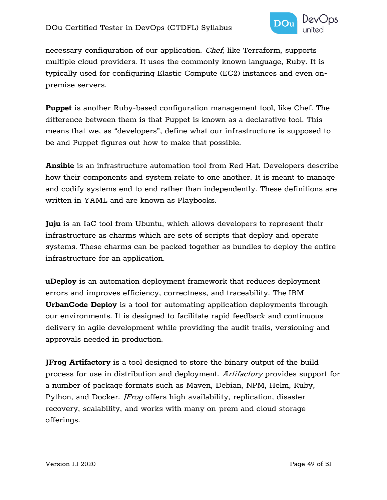

necessary configuration of our application. Chef, like Terraform, supports multiple cloud providers. It uses the commonly known language, Ruby. It is typically used for configuring Elastic Compute (EC2) instances and even onpremise servers.

**Puppet** is another Ruby-based configuration management tool, like Chef. The difference between them is that Puppet is known as a declarative tool. This means that we, as "developers", define what our infrastructure is supposed to be and Puppet figures out how to make that possible.

**Ansible** is an infrastructure automation tool from Red Hat. Developers describe how their components and system relate to one another. It is meant to manage and codify systems end to end rather than independently. These definitions are written in YAML and are known as Playbooks.

**Juju** is an IaC tool from Ubuntu, which allows developers to represent their infrastructure as charms which are sets of scripts that deploy and operate systems. These charms can be packed together as bundles to deploy the entire infrastructure for an application.

**uDeploy** is an automation deployment framework that reduces deployment errors and improves efficiency, correctness, and traceability. The IBM **UrbanCode Deploy** is a tool for automating application deployments through our environments. It is designed to facilitate rapid feedback and continuous delivery in agile development while providing the audit trails, versioning and approvals needed in production.

**JFrog Artifactory** is a tool designed to store the binary output of the build process for use in distribution and deployment. Artifactory provides support for a number of package formats such as Maven, Debian, NPM, Helm, Ruby, Python, and Docker. *JFrog* offers high availability, replication, disaster recovery, scalability, and works with many on-prem and cloud storage offerings.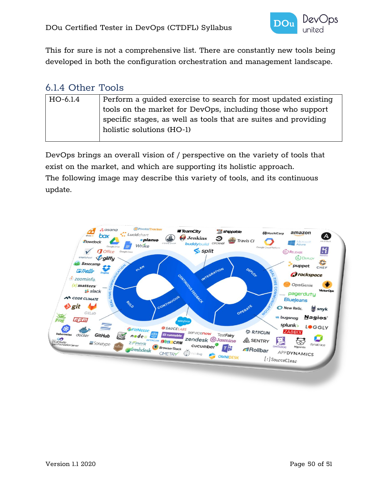

This for sure is not a comprehensive list. There are constantly new tools being developed in both the configuration orchestration and management landscape.

### <span id="page-49-0"></span>6.1.4 Other Tools

| HO-6.1.4 | Perform a quided exercise to search for most updated existing   |
|----------|-----------------------------------------------------------------|
|          | tools on the market for DevOps, including those who support     |
|          | specific stages, as well as tools that are suites and providing |
|          | holistic solutions (HO-1)                                       |
|          |                                                                 |

DevOps brings an overall vision of / perspective on the variety of tools that exist on the market, and which are supporting its holistic approach. The following image may describe this variety of tools, and its continuous update.